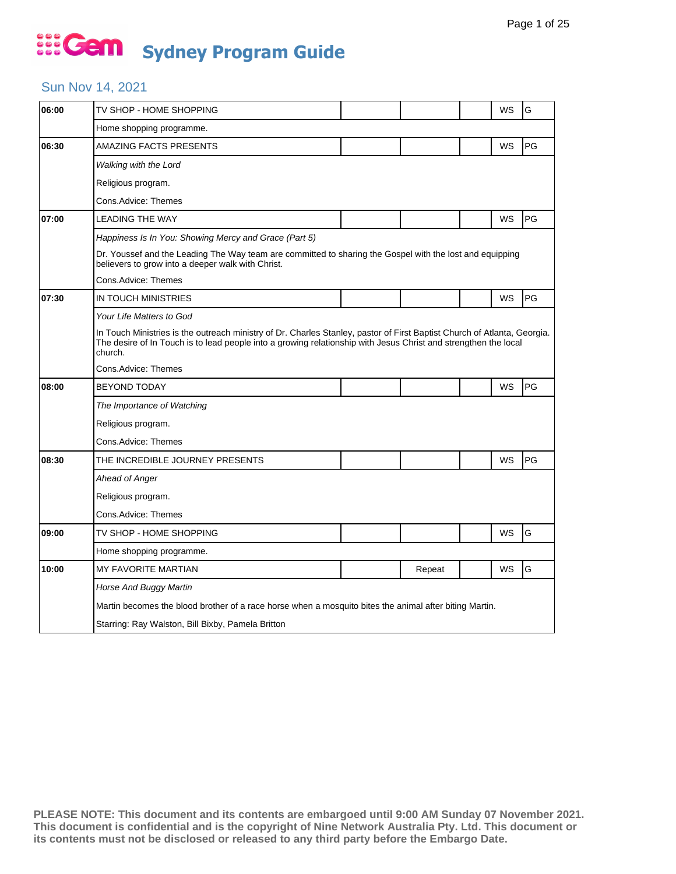#### Sun Nov 14, 2021

| 06:00 | TV SHOP - HOME SHOPPING                                                                                                                                                                                                                                |  |        |  | WS        | G  |  |  |  |
|-------|--------------------------------------------------------------------------------------------------------------------------------------------------------------------------------------------------------------------------------------------------------|--|--------|--|-----------|----|--|--|--|
|       | Home shopping programme.                                                                                                                                                                                                                               |  |        |  |           |    |  |  |  |
| 06:30 | AMAZING FACTS PRESENTS                                                                                                                                                                                                                                 |  |        |  | WS        | PG |  |  |  |
|       | Walking with the Lord                                                                                                                                                                                                                                  |  |        |  |           |    |  |  |  |
|       | Religious program.                                                                                                                                                                                                                                     |  |        |  |           |    |  |  |  |
|       | Cons.Advice: Themes                                                                                                                                                                                                                                    |  |        |  |           |    |  |  |  |
| 07:00 | <b>LEADING THE WAY</b>                                                                                                                                                                                                                                 |  |        |  | WS        | PG |  |  |  |
|       | Happiness Is In You: Showing Mercy and Grace (Part 5)                                                                                                                                                                                                  |  |        |  |           |    |  |  |  |
|       | Dr. Youssef and the Leading The Way team are committed to sharing the Gospel with the lost and equipping<br>believers to grow into a deeper walk with Christ.                                                                                          |  |        |  |           |    |  |  |  |
|       | Cons.Advice: Themes                                                                                                                                                                                                                                    |  |        |  |           |    |  |  |  |
| 07:30 | IN TOUCH MINISTRIES                                                                                                                                                                                                                                    |  |        |  | <b>WS</b> | PG |  |  |  |
|       | Your Life Matters to God                                                                                                                                                                                                                               |  |        |  |           |    |  |  |  |
|       | In Touch Ministries is the outreach ministry of Dr. Charles Stanley, pastor of First Baptist Church of Atlanta, Georgia.<br>The desire of In Touch is to lead people into a growing relationship with Jesus Christ and strengthen the local<br>church. |  |        |  |           |    |  |  |  |
|       | Cons.Advice: Themes                                                                                                                                                                                                                                    |  |        |  |           |    |  |  |  |
| 08:00 | <b>BEYOND TODAY</b>                                                                                                                                                                                                                                    |  |        |  | WS        | PG |  |  |  |
|       | The Importance of Watching                                                                                                                                                                                                                             |  |        |  |           |    |  |  |  |
|       | Religious program.                                                                                                                                                                                                                                     |  |        |  |           |    |  |  |  |
|       | Cons.Advice: Themes                                                                                                                                                                                                                                    |  |        |  |           |    |  |  |  |
| 08:30 | THE INCREDIBLE JOURNEY PRESENTS                                                                                                                                                                                                                        |  |        |  | WS        | PG |  |  |  |
|       | Ahead of Anger                                                                                                                                                                                                                                         |  |        |  |           |    |  |  |  |
|       | Religious program.                                                                                                                                                                                                                                     |  |        |  |           |    |  |  |  |
|       | Cons.Advice: Themes                                                                                                                                                                                                                                    |  |        |  |           |    |  |  |  |
| 09:00 | TV SHOP - HOME SHOPPING                                                                                                                                                                                                                                |  |        |  | WS        | G  |  |  |  |
|       | Home shopping programme.                                                                                                                                                                                                                               |  |        |  |           |    |  |  |  |
| 10:00 | <b>MY FAVORITE MARTIAN</b>                                                                                                                                                                                                                             |  | Repeat |  | WS        | G  |  |  |  |
|       | Horse And Buggy Martin                                                                                                                                                                                                                                 |  |        |  |           |    |  |  |  |
|       | Martin becomes the blood brother of a race horse when a mosquito bites the animal after biting Martin.                                                                                                                                                 |  |        |  |           |    |  |  |  |
|       | Starring: Ray Walston, Bill Bixby, Pamela Britton                                                                                                                                                                                                      |  |        |  |           |    |  |  |  |
|       |                                                                                                                                                                                                                                                        |  |        |  |           |    |  |  |  |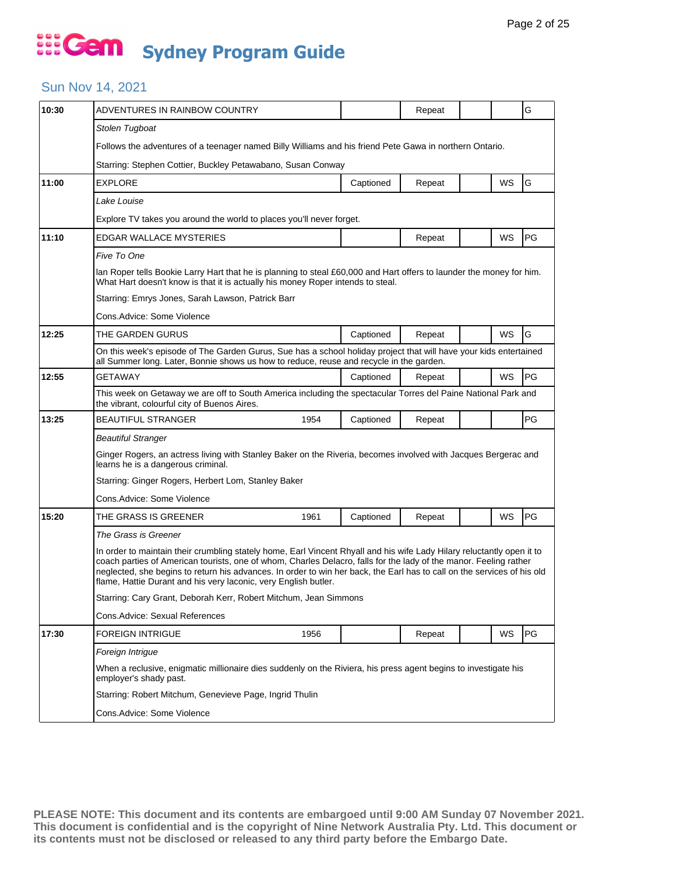#### Sun Nov 14, 2021

| 10:30                                       | ADVENTURES IN RAINBOW COUNTRY                                                                                                                                                                                                                                                                                                                                                                                                             |                                                                                                         |           | Repeat |  |           | G  |  |  |  |
|---------------------------------------------|-------------------------------------------------------------------------------------------------------------------------------------------------------------------------------------------------------------------------------------------------------------------------------------------------------------------------------------------------------------------------------------------------------------------------------------------|---------------------------------------------------------------------------------------------------------|-----------|--------|--|-----------|----|--|--|--|
|                                             | Stolen Tugboat                                                                                                                                                                                                                                                                                                                                                                                                                            |                                                                                                         |           |        |  |           |    |  |  |  |
|                                             |                                                                                                                                                                                                                                                                                                                                                                                                                                           | Follows the adventures of a teenager named Billy Williams and his friend Pete Gawa in northern Ontario. |           |        |  |           |    |  |  |  |
|                                             | Starring: Stephen Cottier, Buckley Petawabano, Susan Conway                                                                                                                                                                                                                                                                                                                                                                               |                                                                                                         |           |        |  |           |    |  |  |  |
| 11:00                                       | <b>EXPLORE</b>                                                                                                                                                                                                                                                                                                                                                                                                                            |                                                                                                         | Captioned | Repeat |  | WS        | G  |  |  |  |
|                                             | Lake Louise                                                                                                                                                                                                                                                                                                                                                                                                                               |                                                                                                         |           |        |  |           |    |  |  |  |
|                                             | Explore TV takes you around the world to places you'll never forget.                                                                                                                                                                                                                                                                                                                                                                      |                                                                                                         |           |        |  |           |    |  |  |  |
| 11:10                                       | EDGAR WALLACE MYSTERIES                                                                                                                                                                                                                                                                                                                                                                                                                   |                                                                                                         |           | Repeat |  | WS        | PG |  |  |  |
|                                             | Five To One                                                                                                                                                                                                                                                                                                                                                                                                                               |                                                                                                         |           |        |  |           |    |  |  |  |
|                                             | lan Roper tells Bookie Larry Hart that he is planning to steal £60,000 and Hart offers to launder the money for him.<br>What Hart doesn't know is that it is actually his money Roper intends to steal.                                                                                                                                                                                                                                   |                                                                                                         |           |        |  |           |    |  |  |  |
|                                             | Starring: Emrys Jones, Sarah Lawson, Patrick Barr                                                                                                                                                                                                                                                                                                                                                                                         |                                                                                                         |           |        |  |           |    |  |  |  |
|                                             | Cons.Advice: Some Violence                                                                                                                                                                                                                                                                                                                                                                                                                |                                                                                                         |           |        |  |           |    |  |  |  |
| 12:25                                       | THE GARDEN GURUS                                                                                                                                                                                                                                                                                                                                                                                                                          |                                                                                                         | Captioned | Repeat |  | WS        | G  |  |  |  |
|                                             | On this week's episode of The Garden Gurus, Sue has a school holiday project that will have your kids entertained<br>all Summer long. Later, Bonnie shows us how to reduce, reuse and recycle in the garden.                                                                                                                                                                                                                              |                                                                                                         |           |        |  |           |    |  |  |  |
| 12:55                                       | GETAWAY                                                                                                                                                                                                                                                                                                                                                                                                                                   |                                                                                                         | Captioned | Repeat |  | WS        | PG |  |  |  |
|                                             | This week on Getaway we are off to South America including the spectacular Torres del Paine National Park and<br>the vibrant, colourful city of Buenos Aires.                                                                                                                                                                                                                                                                             |                                                                                                         |           |        |  |           |    |  |  |  |
|                                             | <b>BEAUTIFUL STRANGER</b>                                                                                                                                                                                                                                                                                                                                                                                                                 | 1954                                                                                                    | Captioned | Repeat |  |           | PG |  |  |  |
|                                             | <b>Beautiful Stranger</b>                                                                                                                                                                                                                                                                                                                                                                                                                 |                                                                                                         |           |        |  |           |    |  |  |  |
|                                             | Ginger Rogers, an actress living with Stanley Baker on the Riveria, becomes involved with Jacques Bergerac and<br>learns he is a dangerous criminal.                                                                                                                                                                                                                                                                                      |                                                                                                         |           |        |  |           |    |  |  |  |
|                                             | Starring: Ginger Rogers, Herbert Lom, Stanley Baker                                                                                                                                                                                                                                                                                                                                                                                       |                                                                                                         |           |        |  |           |    |  |  |  |
|                                             | Cons.Advice: Some Violence                                                                                                                                                                                                                                                                                                                                                                                                                |                                                                                                         |           |        |  |           |    |  |  |  |
| 13:25<br>15:20<br>17:30<br>Foreign Intrigue | THE GRASS IS GREENER                                                                                                                                                                                                                                                                                                                                                                                                                      | 1961                                                                                                    | Captioned | Repeat |  | <b>WS</b> | PG |  |  |  |
|                                             | The Grass is Greener                                                                                                                                                                                                                                                                                                                                                                                                                      |                                                                                                         |           |        |  |           |    |  |  |  |
|                                             | In order to maintain their crumbling stately home, Earl Vincent Rhyall and his wife Lady Hilary reluctantly open it to<br>coach parties of American tourists, one of whom, Charles Delacro, falls for the lady of the manor. Feeling rather<br>neglected, she begins to return his advances. In order to win her back, the Earl has to call on the services of his old<br>flame, Hattie Durant and his very laconic, very English butler. |                                                                                                         |           |        |  |           |    |  |  |  |
|                                             | Starring: Cary Grant, Deborah Kerr, Robert Mitchum, Jean Simmons                                                                                                                                                                                                                                                                                                                                                                          |                                                                                                         |           |        |  |           |    |  |  |  |
|                                             | Cons.Advice: Sexual References                                                                                                                                                                                                                                                                                                                                                                                                            |                                                                                                         |           |        |  |           |    |  |  |  |
|                                             | <b>FOREIGN INTRIGUE</b>                                                                                                                                                                                                                                                                                                                                                                                                                   | 1956                                                                                                    |           | Repeat |  | WS        | PG |  |  |  |
|                                             |                                                                                                                                                                                                                                                                                                                                                                                                                                           |                                                                                                         |           |        |  |           |    |  |  |  |
|                                             | When a reclusive, enigmatic millionaire dies suddenly on the Riviera, his press agent begins to investigate his<br>employer's shady past.                                                                                                                                                                                                                                                                                                 |                                                                                                         |           |        |  |           |    |  |  |  |
|                                             | Starring: Robert Mitchum, Genevieve Page, Ingrid Thulin                                                                                                                                                                                                                                                                                                                                                                                   |                                                                                                         |           |        |  |           |    |  |  |  |
|                                             | Cons.Advice: Some Violence                                                                                                                                                                                                                                                                                                                                                                                                                |                                                                                                         |           |        |  |           |    |  |  |  |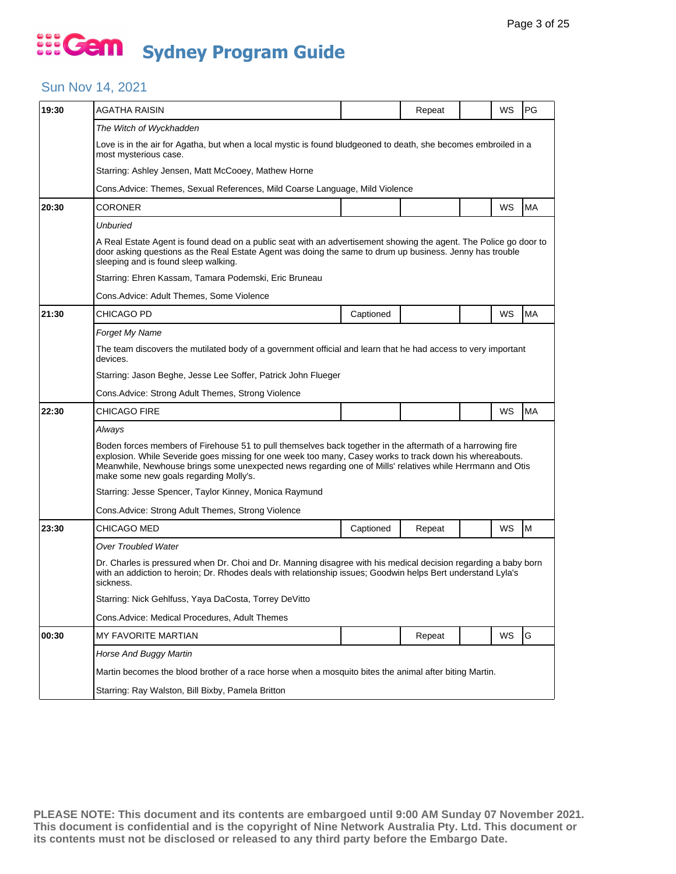#### Sun Nov 14, 2021

| 19:30 | AGATHA RAISIN                                                                                                                                                                                                                                                                                                                                                                 |                                                                              | Repeat |  | WS | PG        |  |  |  |  |
|-------|-------------------------------------------------------------------------------------------------------------------------------------------------------------------------------------------------------------------------------------------------------------------------------------------------------------------------------------------------------------------------------|------------------------------------------------------------------------------|--------|--|----|-----------|--|--|--|--|
|       | The Witch of Wyckhadden                                                                                                                                                                                                                                                                                                                                                       |                                                                              |        |  |    |           |  |  |  |  |
|       | Love is in the air for Agatha, but when a local mystic is found bludgeoned to death, she becomes embroiled in a<br>most mysterious case.                                                                                                                                                                                                                                      |                                                                              |        |  |    |           |  |  |  |  |
|       | Starring: Ashley Jensen, Matt McCooey, Mathew Horne                                                                                                                                                                                                                                                                                                                           |                                                                              |        |  |    |           |  |  |  |  |
|       |                                                                                                                                                                                                                                                                                                                                                                               | Cons. Advice: Themes, Sexual References, Mild Coarse Language, Mild Violence |        |  |    |           |  |  |  |  |
| 20:30 | CORONER                                                                                                                                                                                                                                                                                                                                                                       |                                                                              |        |  | WS | <b>MA</b> |  |  |  |  |
|       | <b>Unburied</b>                                                                                                                                                                                                                                                                                                                                                               |                                                                              |        |  |    |           |  |  |  |  |
|       | A Real Estate Agent is found dead on a public seat with an advertisement showing the agent. The Police go door to<br>door asking questions as the Real Estate Agent was doing the same to drum up business. Jenny has trouble<br>sleeping and is found sleep walking.                                                                                                         |                                                                              |        |  |    |           |  |  |  |  |
|       | Starring: Ehren Kassam, Tamara Podemski, Eric Bruneau                                                                                                                                                                                                                                                                                                                         |                                                                              |        |  |    |           |  |  |  |  |
|       | Cons.Advice: Adult Themes, Some Violence                                                                                                                                                                                                                                                                                                                                      |                                                                              |        |  |    |           |  |  |  |  |
| 21:30 | <b>CHICAGO PD</b>                                                                                                                                                                                                                                                                                                                                                             | Captioned                                                                    |        |  | WS | <b>MA</b> |  |  |  |  |
|       | Forget My Name                                                                                                                                                                                                                                                                                                                                                                |                                                                              |        |  |    |           |  |  |  |  |
|       | The team discovers the mutilated body of a government official and learn that he had access to very important<br>devices.                                                                                                                                                                                                                                                     |                                                                              |        |  |    |           |  |  |  |  |
|       | Starring: Jason Beghe, Jesse Lee Soffer, Patrick John Flueger                                                                                                                                                                                                                                                                                                                 |                                                                              |        |  |    |           |  |  |  |  |
|       | Cons. Advice: Strong Adult Themes, Strong Violence                                                                                                                                                                                                                                                                                                                            |                                                                              |        |  |    |           |  |  |  |  |
| 22:30 | CHICAGO FIRE                                                                                                                                                                                                                                                                                                                                                                  |                                                                              |        |  | WS | MA        |  |  |  |  |
|       | Always                                                                                                                                                                                                                                                                                                                                                                        |                                                                              |        |  |    |           |  |  |  |  |
|       | Boden forces members of Firehouse 51 to pull themselves back together in the aftermath of a harrowing fire<br>explosion. While Severide goes missing for one week too many, Casey works to track down his whereabouts.<br>Meanwhile, Newhouse brings some unexpected news regarding one of Mills' relatives while Herrmann and Otis<br>make some new goals regarding Molly's. |                                                                              |        |  |    |           |  |  |  |  |
|       | Starring: Jesse Spencer, Taylor Kinney, Monica Raymund                                                                                                                                                                                                                                                                                                                        |                                                                              |        |  |    |           |  |  |  |  |
|       | Cons. Advice: Strong Adult Themes, Strong Violence                                                                                                                                                                                                                                                                                                                            |                                                                              |        |  |    |           |  |  |  |  |
| 23:30 | CHICAGO MED                                                                                                                                                                                                                                                                                                                                                                   | Captioned                                                                    | Repeat |  | WS | M         |  |  |  |  |
|       | <b>Over Troubled Water</b>                                                                                                                                                                                                                                                                                                                                                    |                                                                              |        |  |    |           |  |  |  |  |
|       | Dr. Charles is pressured when Dr. Choi and Dr. Manning disagree with his medical decision regarding a baby born<br>with an addiction to heroin; Dr. Rhodes deals with relationship issues; Goodwin helps Bert understand Lyla's<br>sickness.                                                                                                                                  |                                                                              |        |  |    |           |  |  |  |  |
|       | Starring: Nick Gehlfuss, Yaya DaCosta, Torrey DeVitto                                                                                                                                                                                                                                                                                                                         |                                                                              |        |  |    |           |  |  |  |  |
|       | Cons. Advice: Medical Procedures, Adult Themes                                                                                                                                                                                                                                                                                                                                |                                                                              |        |  |    |           |  |  |  |  |
| 00:30 | <b>MY FAVORITE MARTIAN</b>                                                                                                                                                                                                                                                                                                                                                    |                                                                              | Repeat |  | WS | G         |  |  |  |  |
|       | Horse And Buggy Martin                                                                                                                                                                                                                                                                                                                                                        |                                                                              |        |  |    |           |  |  |  |  |
|       | Martin becomes the blood brother of a race horse when a mosquito bites the animal after biting Martin.                                                                                                                                                                                                                                                                        |                                                                              |        |  |    |           |  |  |  |  |
|       | Starring: Ray Walston, Bill Bixby, Pamela Britton                                                                                                                                                                                                                                                                                                                             |                                                                              |        |  |    |           |  |  |  |  |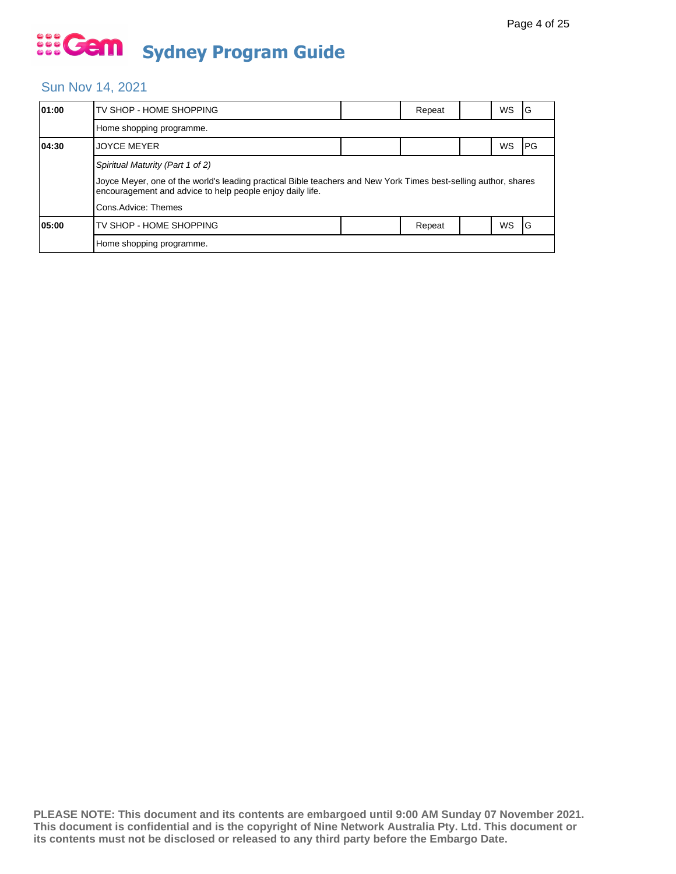#### Sun Nov 14, 2021

| 01:00 | TV SHOP - HOME SHOPPING                                                                                                                                                      |  | Repeat |  | WS        | ١G  |  |  |  |
|-------|------------------------------------------------------------------------------------------------------------------------------------------------------------------------------|--|--------|--|-----------|-----|--|--|--|
|       | Home shopping programme.                                                                                                                                                     |  |        |  |           |     |  |  |  |
| 04:30 | <b>JOYCE MEYER</b>                                                                                                                                                           |  |        |  | WS        | IPG |  |  |  |
|       | Spiritual Maturity (Part 1 of 2)                                                                                                                                             |  |        |  |           |     |  |  |  |
|       | Joyce Meyer, one of the world's leading practical Bible teachers and New York Times best-selling author, shares<br>encouragement and advice to help people enjoy daily life. |  |        |  |           |     |  |  |  |
|       | Cons.Advice: Themes                                                                                                                                                          |  |        |  |           |     |  |  |  |
| 05:00 | TV SHOP - HOME SHOPPING                                                                                                                                                      |  | Repeat |  | <b>WS</b> | ΙG  |  |  |  |
|       | Home shopping programme.                                                                                                                                                     |  |        |  |           |     |  |  |  |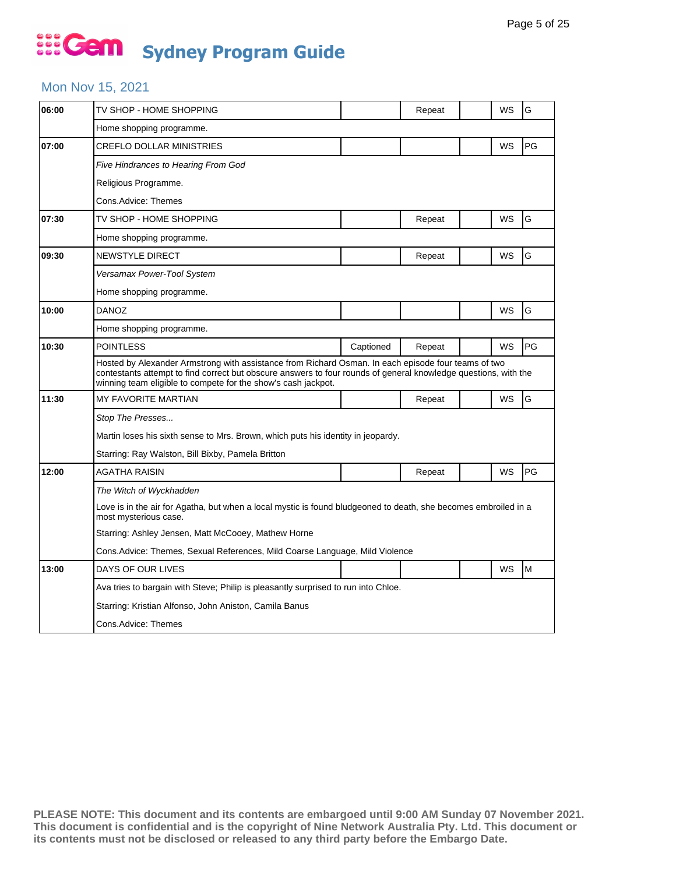### ... Gem **Sydney Program Guide**

#### Mon Nov 15, 2021

| 06:00 | TV SHOP - HOME SHOPPING                                                                                                                                                                                                                                                                 |           | Repeat |  | WS | G  |  |  |
|-------|-----------------------------------------------------------------------------------------------------------------------------------------------------------------------------------------------------------------------------------------------------------------------------------------|-----------|--------|--|----|----|--|--|
|       | Home shopping programme.                                                                                                                                                                                                                                                                |           |        |  |    |    |  |  |
| 07:00 | <b>CREFLO DOLLAR MINISTRIES</b>                                                                                                                                                                                                                                                         |           |        |  | WS | PG |  |  |
|       | Five Hindrances to Hearing From God                                                                                                                                                                                                                                                     |           |        |  |    |    |  |  |
|       | Religious Programme.                                                                                                                                                                                                                                                                    |           |        |  |    |    |  |  |
|       | Cons.Advice: Themes                                                                                                                                                                                                                                                                     |           |        |  |    |    |  |  |
| 07:30 | TV SHOP - HOME SHOPPING                                                                                                                                                                                                                                                                 |           | Repeat |  | WS | G  |  |  |
|       | Home shopping programme.                                                                                                                                                                                                                                                                |           |        |  |    |    |  |  |
| 09:30 | NEWSTYLE DIRECT                                                                                                                                                                                                                                                                         |           | Repeat |  | WS | G  |  |  |
|       | Versamax Power-Tool System                                                                                                                                                                                                                                                              |           |        |  |    |    |  |  |
|       | Home shopping programme.                                                                                                                                                                                                                                                                |           |        |  |    |    |  |  |
| 10:00 | <b>DANOZ</b>                                                                                                                                                                                                                                                                            |           |        |  | WS | G  |  |  |
|       | Home shopping programme.                                                                                                                                                                                                                                                                |           |        |  |    |    |  |  |
| 10:30 | <b>POINTLESS</b>                                                                                                                                                                                                                                                                        | Captioned | Repeat |  | WS | PG |  |  |
|       | Hosted by Alexander Armstrong with assistance from Richard Osman. In each episode four teams of two<br>contestants attempt to find correct but obscure answers to four rounds of general knowledge questions, with the<br>winning team eligible to compete for the show's cash jackpot. |           |        |  |    |    |  |  |
| 11:30 | <b>MY FAVORITE MARTIAN</b>                                                                                                                                                                                                                                                              |           | Repeat |  | WS | G  |  |  |
|       | Stop The Presses                                                                                                                                                                                                                                                                        |           |        |  |    |    |  |  |
|       | Martin loses his sixth sense to Mrs. Brown, which puts his identity in jeopardy.                                                                                                                                                                                                        |           |        |  |    |    |  |  |
|       | Starring: Ray Walston, Bill Bixby, Pamela Britton                                                                                                                                                                                                                                       |           |        |  |    |    |  |  |
| 12:00 | AGATHA RAISIN                                                                                                                                                                                                                                                                           |           | Repeat |  | WS | PG |  |  |
|       | The Witch of Wyckhadden                                                                                                                                                                                                                                                                 |           |        |  |    |    |  |  |
|       | Love is in the air for Agatha, but when a local mystic is found bludgeoned to death, she becomes embroiled in a<br>most mysterious case.                                                                                                                                                |           |        |  |    |    |  |  |
|       | Starring: Ashley Jensen, Matt McCooey, Mathew Horne                                                                                                                                                                                                                                     |           |        |  |    |    |  |  |
|       | Cons. Advice: Themes, Sexual References, Mild Coarse Language, Mild Violence                                                                                                                                                                                                            |           |        |  |    |    |  |  |
| 13:00 | DAYS OF OUR LIVES                                                                                                                                                                                                                                                                       |           |        |  | WS | M  |  |  |
|       | Ava tries to bargain with Steve; Philip is pleasantly surprised to run into Chloe.                                                                                                                                                                                                      |           |        |  |    |    |  |  |
|       | Starring: Kristian Alfonso, John Aniston, Camila Banus                                                                                                                                                                                                                                  |           |        |  |    |    |  |  |
|       | Cons.Advice: Themes                                                                                                                                                                                                                                                                     |           |        |  |    |    |  |  |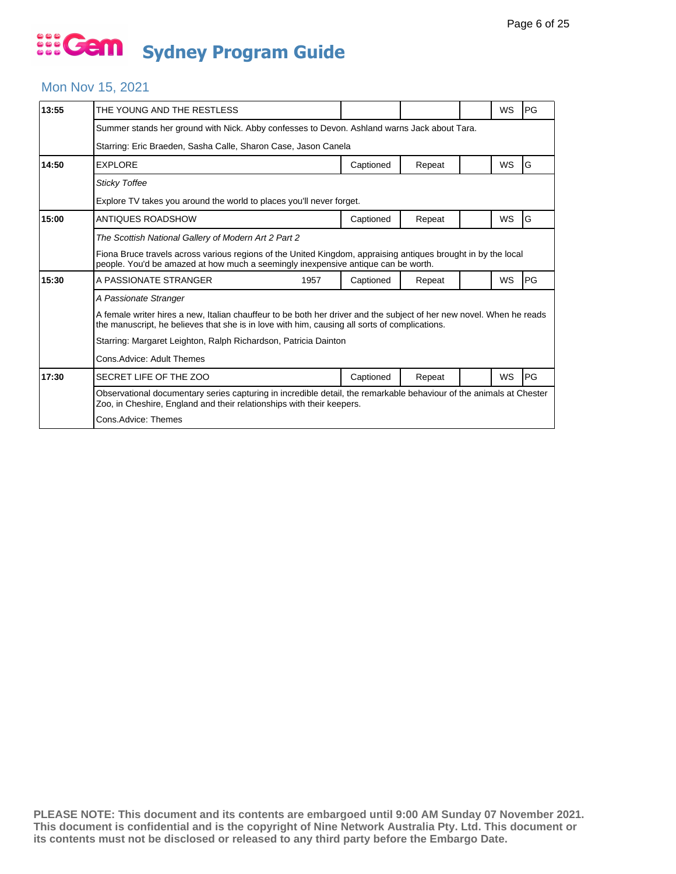#### Mon Nov 15, 2021

| 13:55 | THE YOUNG AND THE RESTLESS                                                                                                                                                                                            |                                                                                                                                                                                              |        |  | <b>WS</b> | PG        |  |  |
|-------|-----------------------------------------------------------------------------------------------------------------------------------------------------------------------------------------------------------------------|----------------------------------------------------------------------------------------------------------------------------------------------------------------------------------------------|--------|--|-----------|-----------|--|--|
|       | Summer stands her ground with Nick. Abby confesses to Devon. Ashland warns Jack about Tara.                                                                                                                           |                                                                                                                                                                                              |        |  |           |           |  |  |
|       | Starring: Eric Braeden, Sasha Calle, Sharon Case, Jason Canela                                                                                                                                                        |                                                                                                                                                                                              |        |  |           |           |  |  |
| 14:50 | <b>EXPLORE</b>                                                                                                                                                                                                        | Captioned                                                                                                                                                                                    | Repeat |  | WS        | G         |  |  |
|       | <b>Sticky Toffee</b>                                                                                                                                                                                                  |                                                                                                                                                                                              |        |  |           |           |  |  |
|       | Explore TV takes you around the world to places you'll never forget.                                                                                                                                                  |                                                                                                                                                                                              |        |  |           |           |  |  |
| 15:00 | ANTIQUES ROADSHOW                                                                                                                                                                                                     | Captioned                                                                                                                                                                                    | Repeat |  | <b>WS</b> | G         |  |  |
|       | The Scottish National Gallery of Modern Art 2 Part 2                                                                                                                                                                  |                                                                                                                                                                                              |        |  |           |           |  |  |
|       | Fiona Bruce travels across various regions of the United Kingdom, appraising antiques brought in by the local<br>people. You'd be amazed at how much a seemingly inexpensive antique can be worth.                    |                                                                                                                                                                                              |        |  |           |           |  |  |
| 15:30 | A PASSIONATE STRANGER<br>1957                                                                                                                                                                                         | Captioned                                                                                                                                                                                    | Repeat |  | WS        | PG        |  |  |
|       | A Passionate Stranger                                                                                                                                                                                                 |                                                                                                                                                                                              |        |  |           |           |  |  |
|       | A female writer hires a new, Italian chauffeur to be both her driver and the subject of her new novel. When he reads<br>the manuscript, he believes that she is in love with him, causing all sorts of complications. |                                                                                                                                                                                              |        |  |           |           |  |  |
|       |                                                                                                                                                                                                                       | Starring: Margaret Leighton, Ralph Richardson, Patricia Dainton                                                                                                                              |        |  |           |           |  |  |
|       | Cons. Advice: Adult Themes                                                                                                                                                                                            |                                                                                                                                                                                              |        |  |           |           |  |  |
| 17:30 | SECRET LIFE OF THE ZOO                                                                                                                                                                                                | Captioned                                                                                                                                                                                    | Repeat |  | WS        | <b>PG</b> |  |  |
|       |                                                                                                                                                                                                                       | Observational documentary series capturing in incredible detail, the remarkable behaviour of the animals at Chester<br>Zoo, in Cheshire, England and their relationships with their keepers. |        |  |           |           |  |  |
|       | Cons.Advice: Themes                                                                                                                                                                                                   |                                                                                                                                                                                              |        |  |           |           |  |  |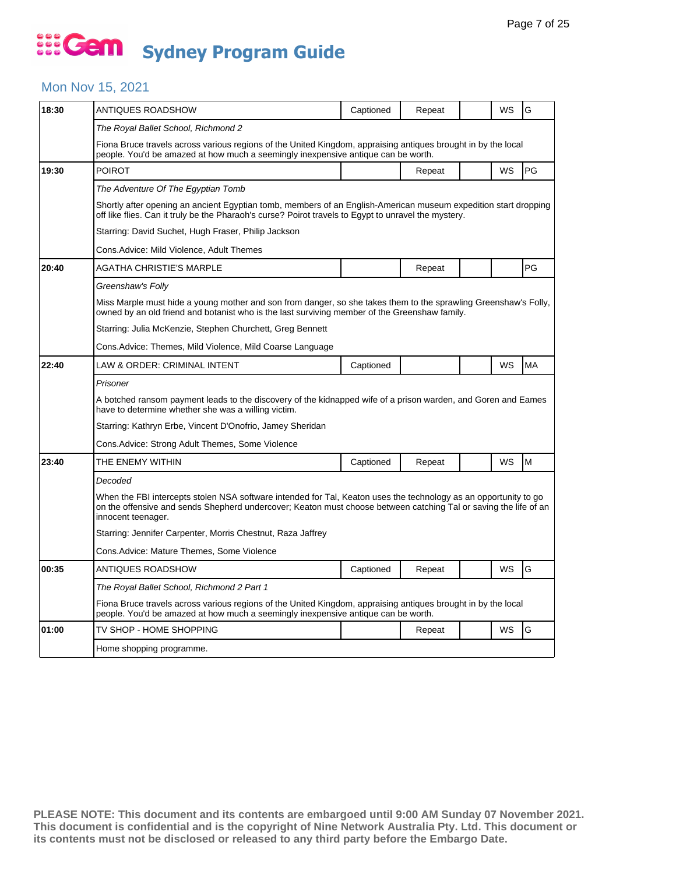#### Mon Nov 15, 2021

| 18:30 | ANTIQUES ROADSHOW                                                                                                                                                                                                                                          | Captioned | Repeat |  | WS | G  |  |  |  |
|-------|------------------------------------------------------------------------------------------------------------------------------------------------------------------------------------------------------------------------------------------------------------|-----------|--------|--|----|----|--|--|--|
|       | The Royal Ballet School, Richmond 2                                                                                                                                                                                                                        |           |        |  |    |    |  |  |  |
|       | Fiona Bruce travels across various regions of the United Kingdom, appraising antiques brought in by the local<br>people. You'd be amazed at how much a seemingly inexpensive antique can be worth.                                                         |           |        |  |    |    |  |  |  |
| 19:30 | <b>POIROT</b>                                                                                                                                                                                                                                              |           | Repeat |  | WS | PG |  |  |  |
|       | The Adventure Of The Egyptian Tomb                                                                                                                                                                                                                         |           |        |  |    |    |  |  |  |
|       | Shortly after opening an ancient Egyptian tomb, members of an English-American museum expedition start dropping<br>off like flies. Can it truly be the Pharaoh's curse? Poirot travels to Egypt to unravel the mystery.                                    |           |        |  |    |    |  |  |  |
|       | Starring: David Suchet, Hugh Fraser, Philip Jackson                                                                                                                                                                                                        |           |        |  |    |    |  |  |  |
|       | Cons.Advice: Mild Violence, Adult Themes                                                                                                                                                                                                                   |           |        |  |    |    |  |  |  |
| 20:40 | AGATHA CHRISTIE'S MARPLE                                                                                                                                                                                                                                   |           | Repeat |  |    | PG |  |  |  |
|       | Greenshaw's Folly                                                                                                                                                                                                                                          |           |        |  |    |    |  |  |  |
|       | Miss Marple must hide a young mother and son from danger, so she takes them to the sprawling Greenshaw's Folly,<br>owned by an old friend and botanist who is the last surviving member of the Greenshaw family.                                           |           |        |  |    |    |  |  |  |
|       | Starring: Julia McKenzie, Stephen Churchett, Greg Bennett                                                                                                                                                                                                  |           |        |  |    |    |  |  |  |
|       | Cons.Advice: Themes, Mild Violence, Mild Coarse Language                                                                                                                                                                                                   |           |        |  |    |    |  |  |  |
| 22:40 | LAW & ORDER: CRIMINAL INTENT                                                                                                                                                                                                                               | Captioned |        |  | WS | MA |  |  |  |
|       | Prisoner                                                                                                                                                                                                                                                   |           |        |  |    |    |  |  |  |
|       | A botched ransom payment leads to the discovery of the kidnapped wife of a prison warden, and Goren and Eames<br>have to determine whether she was a willing victim.                                                                                       |           |        |  |    |    |  |  |  |
|       | Starring: Kathryn Erbe, Vincent D'Onofrio, Jamey Sheridan                                                                                                                                                                                                  |           |        |  |    |    |  |  |  |
|       | Cons.Advice: Strong Adult Themes, Some Violence                                                                                                                                                                                                            |           |        |  |    |    |  |  |  |
| 23:40 | THE ENEMY WITHIN                                                                                                                                                                                                                                           | Captioned | Repeat |  | WS | M  |  |  |  |
|       | Decoded                                                                                                                                                                                                                                                    |           |        |  |    |    |  |  |  |
|       | When the FBI intercepts stolen NSA software intended for Tal, Keaton uses the technology as an opportunity to go<br>on the offensive and sends Shepherd undercover; Keaton must choose between catching Tal or saving the life of an<br>innocent teenager. |           |        |  |    |    |  |  |  |
|       | Starring: Jennifer Carpenter, Morris Chestnut, Raza Jaffrey                                                                                                                                                                                                |           |        |  |    |    |  |  |  |
|       | Cons.Advice: Mature Themes, Some Violence                                                                                                                                                                                                                  |           |        |  |    |    |  |  |  |
| 00:35 | ANTIQUES ROADSHOW                                                                                                                                                                                                                                          | Captioned | Repeat |  | WS | G  |  |  |  |
|       | The Royal Ballet School, Richmond 2 Part 1                                                                                                                                                                                                                 |           |        |  |    |    |  |  |  |
|       | Fiona Bruce travels across various regions of the United Kingdom, appraising antiques brought in by the local<br>people. You'd be amazed at how much a seemingly inexpensive antique can be worth.                                                         |           |        |  |    |    |  |  |  |
| 01:00 | TV SHOP - HOME SHOPPING                                                                                                                                                                                                                                    |           | Repeat |  | WS | G  |  |  |  |
|       | Home shopping programme.                                                                                                                                                                                                                                   |           |        |  |    |    |  |  |  |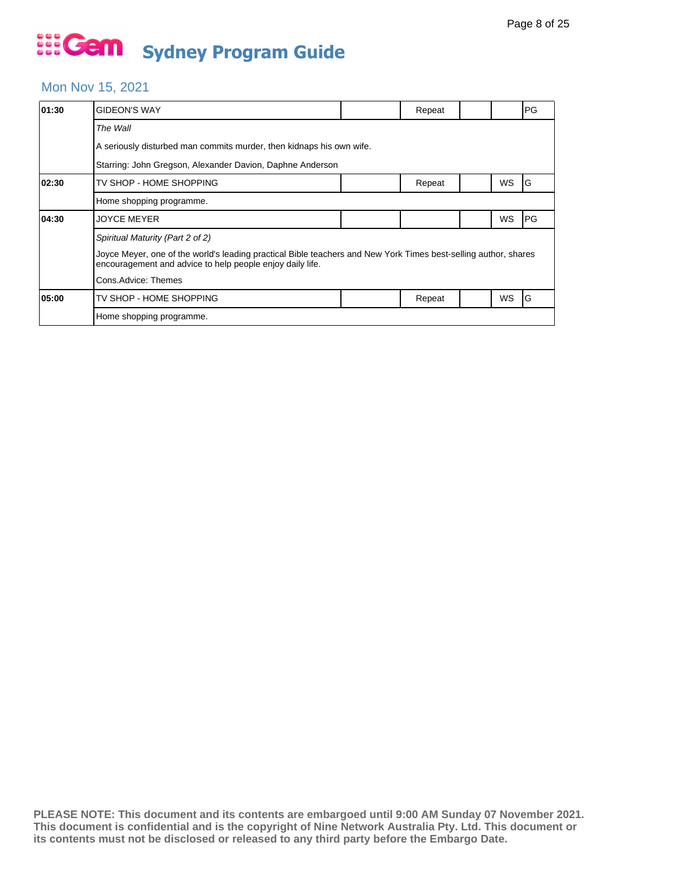#### Mon Nov 15, 2021

| 01:30                                                     | <b>GIDEON'S WAY</b>                                                                                                                                                                                                                     |  | Repeat |  |           | PG |  |  |
|-----------------------------------------------------------|-----------------------------------------------------------------------------------------------------------------------------------------------------------------------------------------------------------------------------------------|--|--------|--|-----------|----|--|--|
|                                                           | The Wall                                                                                                                                                                                                                                |  |        |  |           |    |  |  |
|                                                           | A seriously disturbed man commits murder, then kidnaps his own wife.                                                                                                                                                                    |  |        |  |           |    |  |  |
| Starring: John Gregson, Alexander Davion, Daphne Anderson |                                                                                                                                                                                                                                         |  |        |  |           |    |  |  |
| 02:30                                                     | TV SHOP - HOME SHOPPING                                                                                                                                                                                                                 |  | Repeat |  | WS        | G  |  |  |
|                                                           | Home shopping programme.                                                                                                                                                                                                                |  |        |  |           |    |  |  |
| 04:30                                                     | <b>JOYCE MEYER</b>                                                                                                                                                                                                                      |  |        |  | WS        | PG |  |  |
|                                                           | Spiritual Maturity (Part 2 of 2)<br>Joyce Meyer, one of the world's leading practical Bible teachers and New York Times best-selling author, shares<br>encouragement and advice to help people enjoy daily life.<br>Cons.Advice: Themes |  |        |  |           |    |  |  |
| 05:00                                                     | TV SHOP - HOME SHOPPING                                                                                                                                                                                                                 |  | Repeat |  | <b>WS</b> | G  |  |  |
|                                                           | Home shopping programme.                                                                                                                                                                                                                |  |        |  |           |    |  |  |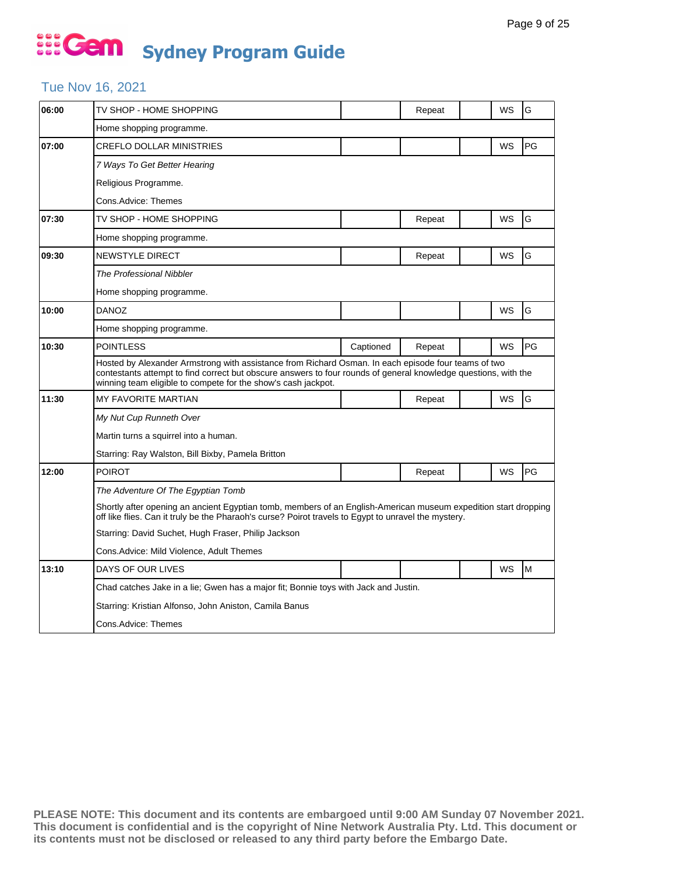#### Tue Nov 16, 2021

| 06:00 | TV SHOP - HOME SHOPPING                                                                                                                                                                                                                                                                 |           | Repeat |  | WS | G  |  |  |
|-------|-----------------------------------------------------------------------------------------------------------------------------------------------------------------------------------------------------------------------------------------------------------------------------------------|-----------|--------|--|----|----|--|--|
|       | Home shopping programme.                                                                                                                                                                                                                                                                |           |        |  |    |    |  |  |
| 07:00 | <b>CREFLO DOLLAR MINISTRIES</b>                                                                                                                                                                                                                                                         |           |        |  | WS | PG |  |  |
|       | 7 Ways To Get Better Hearing                                                                                                                                                                                                                                                            |           |        |  |    |    |  |  |
|       | Religious Programme.                                                                                                                                                                                                                                                                    |           |        |  |    |    |  |  |
|       | Cons.Advice: Themes                                                                                                                                                                                                                                                                     |           |        |  |    |    |  |  |
| 07:30 | TV SHOP - HOME SHOPPING                                                                                                                                                                                                                                                                 |           | Repeat |  | WS | G  |  |  |
|       | Home shopping programme.                                                                                                                                                                                                                                                                |           |        |  |    |    |  |  |
| 09:30 | NEWSTYLE DIRECT                                                                                                                                                                                                                                                                         |           | Repeat |  | WS | G  |  |  |
|       | The Professional Nibbler                                                                                                                                                                                                                                                                |           |        |  |    |    |  |  |
|       | Home shopping programme.                                                                                                                                                                                                                                                                |           |        |  |    |    |  |  |
| 10:00 | <b>DANOZ</b>                                                                                                                                                                                                                                                                            |           |        |  | WS | G  |  |  |
|       | Home shopping programme.                                                                                                                                                                                                                                                                |           |        |  |    |    |  |  |
| 10:30 | <b>POINTLESS</b>                                                                                                                                                                                                                                                                        | Captioned | Repeat |  | WS | PG |  |  |
|       | Hosted by Alexander Armstrong with assistance from Richard Osman. In each episode four teams of two<br>contestants attempt to find correct but obscure answers to four rounds of general knowledge questions, with the<br>winning team eligible to compete for the show's cash jackpot. |           |        |  |    |    |  |  |
| 11:30 | <b>MY FAVORITE MARTIAN</b>                                                                                                                                                                                                                                                              |           | Repeat |  | WS | G  |  |  |
|       | My Nut Cup Runneth Over                                                                                                                                                                                                                                                                 |           |        |  |    |    |  |  |
|       | Martin turns a squirrel into a human.                                                                                                                                                                                                                                                   |           |        |  |    |    |  |  |
|       | Starring: Ray Walston, Bill Bixby, Pamela Britton                                                                                                                                                                                                                                       |           |        |  |    |    |  |  |
| 12:00 | <b>POIROT</b>                                                                                                                                                                                                                                                                           |           | Repeat |  | WS | PG |  |  |
|       | The Adventure Of The Egyptian Tomb                                                                                                                                                                                                                                                      |           |        |  |    |    |  |  |
|       | Shortly after opening an ancient Egyptian tomb, members of an English-American museum expedition start dropping<br>off like flies. Can it truly be the Pharaoh's curse? Poirot travels to Egypt to unravel the mystery.                                                                 |           |        |  |    |    |  |  |
|       | Starring: David Suchet, Hugh Fraser, Philip Jackson                                                                                                                                                                                                                                     |           |        |  |    |    |  |  |
|       | Cons. Advice: Mild Violence, Adult Themes                                                                                                                                                                                                                                               |           |        |  |    |    |  |  |
| 13:10 | DAYS OF OUR LIVES                                                                                                                                                                                                                                                                       |           |        |  | WS | M  |  |  |
|       | Chad catches Jake in a lie; Gwen has a major fit; Bonnie toys with Jack and Justin.                                                                                                                                                                                                     |           |        |  |    |    |  |  |
|       | Starring: Kristian Alfonso, John Aniston, Camila Banus                                                                                                                                                                                                                                  |           |        |  |    |    |  |  |
|       | Cons.Advice: Themes                                                                                                                                                                                                                                                                     |           |        |  |    |    |  |  |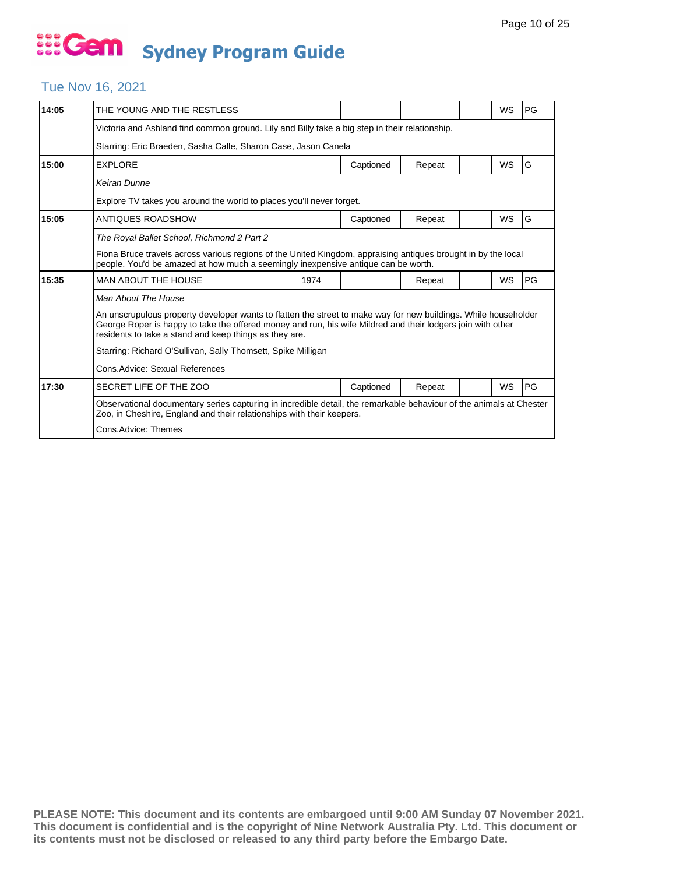#### Tue Nov 16, 2021

| 14:05 | THE YOUNG AND THE RESTLESS                                                                                                                                                                                                                                                               |           |        |  | <b>WS</b> | PG |  |  |
|-------|------------------------------------------------------------------------------------------------------------------------------------------------------------------------------------------------------------------------------------------------------------------------------------------|-----------|--------|--|-----------|----|--|--|
|       | Victoria and Ashland find common ground. Lily and Billy take a big step in their relationship.                                                                                                                                                                                           |           |        |  |           |    |  |  |
|       | Starring: Eric Braeden, Sasha Calle, Sharon Case, Jason Canela                                                                                                                                                                                                                           |           |        |  |           |    |  |  |
| 15:00 | <b>EXPLORE</b>                                                                                                                                                                                                                                                                           | Captioned | Repeat |  | WS        | G  |  |  |
|       | Keiran Dunne                                                                                                                                                                                                                                                                             |           |        |  |           |    |  |  |
|       | Explore TV takes you around the world to places you'll never forget.                                                                                                                                                                                                                     |           |        |  |           |    |  |  |
| 15:05 | ANTIQUES ROADSHOW                                                                                                                                                                                                                                                                        | Captioned | Repeat |  | <b>WS</b> | G  |  |  |
|       | The Royal Ballet School, Richmond 2 Part 2                                                                                                                                                                                                                                               |           |        |  |           |    |  |  |
|       | Fiona Bruce travels across various regions of the United Kingdom, appraising antiques brought in by the local<br>people. You'd be amazed at how much a seemingly inexpensive antique can be worth.                                                                                       |           |        |  |           |    |  |  |
| 15:35 | <b>MAN ABOUT THE HOUSE</b><br>1974                                                                                                                                                                                                                                                       |           | Repeat |  | WS        | PG |  |  |
|       | Man About The House                                                                                                                                                                                                                                                                      |           |        |  |           |    |  |  |
|       | An unscrupulous property developer wants to flatten the street to make way for new buildings. While householder<br>George Roper is happy to take the offered money and run, his wife Mildred and their lodgers join with other<br>residents to take a stand and keep things as they are. |           |        |  |           |    |  |  |
|       | Starring: Richard O'Sullivan, Sally Thomsett, Spike Milligan                                                                                                                                                                                                                             |           |        |  |           |    |  |  |
|       | Cons. Advice: Sexual References                                                                                                                                                                                                                                                          |           |        |  |           |    |  |  |
| 17:30 | SECRET LIFE OF THE ZOO                                                                                                                                                                                                                                                                   | Captioned | Repeat |  | WS        | PG |  |  |
|       | Observational documentary series capturing in incredible detail, the remarkable behaviour of the animals at Chester<br>Zoo, in Cheshire, England and their relationships with their keepers.                                                                                             |           |        |  |           |    |  |  |
|       | Cons.Advice: Themes                                                                                                                                                                                                                                                                      |           |        |  |           |    |  |  |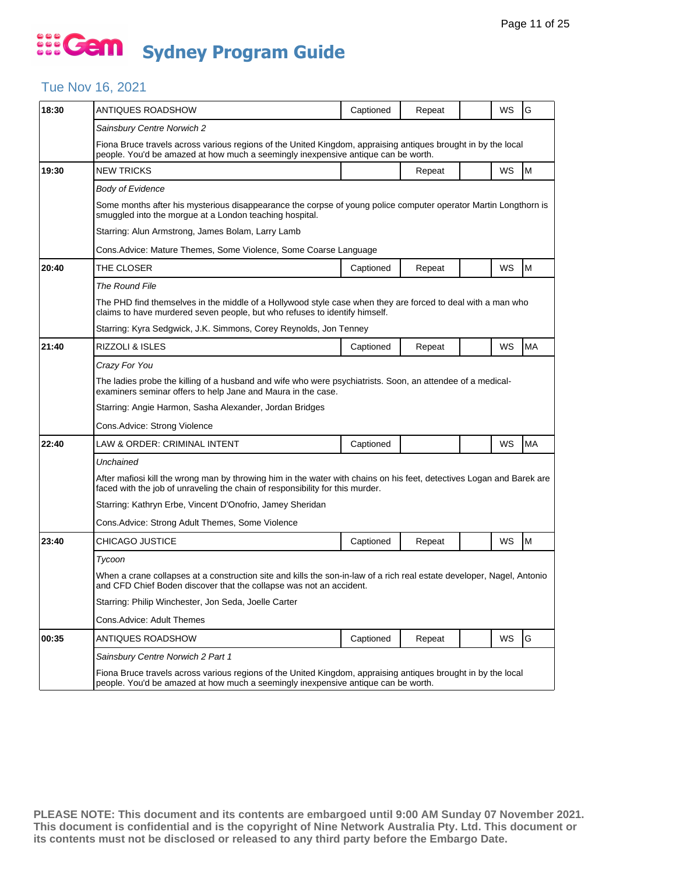#### Tue Nov 16, 2021

| 18:30 | <b>ANTIQUES ROADSHOW</b>                                                                                                                                                                               | Captioned | Repeat |  | WS | G         |  |  |  |
|-------|--------------------------------------------------------------------------------------------------------------------------------------------------------------------------------------------------------|-----------|--------|--|----|-----------|--|--|--|
|       | Sainsbury Centre Norwich 2                                                                                                                                                                             |           |        |  |    |           |  |  |  |
|       | Fiona Bruce travels across various regions of the United Kingdom, appraising antiques brought in by the local<br>people. You'd be amazed at how much a seemingly inexpensive antique can be worth.     |           |        |  |    |           |  |  |  |
| 19:30 | <b>NEW TRICKS</b>                                                                                                                                                                                      |           | Repeat |  | WS | M         |  |  |  |
|       | Body of Evidence                                                                                                                                                                                       |           |        |  |    |           |  |  |  |
|       | Some months after his mysterious disappearance the corpse of young police computer operator Martin Longthorn is<br>smuggled into the morgue at a London teaching hospital.                             |           |        |  |    |           |  |  |  |
|       | Starring: Alun Armstrong, James Bolam, Larry Lamb                                                                                                                                                      |           |        |  |    |           |  |  |  |
|       | Cons.Advice: Mature Themes, Some Violence, Some Coarse Language                                                                                                                                        |           |        |  |    |           |  |  |  |
| 20:40 | THE CLOSER                                                                                                                                                                                             | Captioned | Repeat |  | WS | M         |  |  |  |
|       | The Round File                                                                                                                                                                                         |           |        |  |    |           |  |  |  |
|       | The PHD find themselves in the middle of a Hollywood style case when they are forced to deal with a man who<br>claims to have murdered seven people, but who refuses to identify himself.              |           |        |  |    |           |  |  |  |
|       | Starring: Kyra Sedgwick, J.K. Simmons, Corey Reynolds, Jon Tenney                                                                                                                                      |           |        |  |    |           |  |  |  |
| 21:40 | RIZZOLI & ISLES                                                                                                                                                                                        | Captioned | Repeat |  | WS | <b>MA</b> |  |  |  |
|       | Crazy For You                                                                                                                                                                                          |           |        |  |    |           |  |  |  |
|       | The ladies probe the killing of a husband and wife who were psychiatrists. Soon, an attendee of a medical-<br>examiners seminar offers to help Jane and Maura in the case.                             |           |        |  |    |           |  |  |  |
|       | Starring: Angie Harmon, Sasha Alexander, Jordan Bridges                                                                                                                                                |           |        |  |    |           |  |  |  |
|       | Cons.Advice: Strong Violence                                                                                                                                                                           |           |        |  |    |           |  |  |  |
| 22:40 | LAW & ORDER: CRIMINAL INTENT                                                                                                                                                                           | Captioned |        |  | WS | <b>MA</b> |  |  |  |
|       | Unchained                                                                                                                                                                                              |           |        |  |    |           |  |  |  |
|       | After mafiosi kill the wrong man by throwing him in the water with chains on his feet, detectives Logan and Barek are<br>faced with the job of unraveling the chain of responsibility for this murder. |           |        |  |    |           |  |  |  |
|       | Starring: Kathryn Erbe, Vincent D'Onofrio, Jamey Sheridan                                                                                                                                              |           |        |  |    |           |  |  |  |
|       | Cons.Advice: Strong Adult Themes, Some Violence                                                                                                                                                        |           |        |  |    |           |  |  |  |
| 23:40 | CHICAGO JUSTICE                                                                                                                                                                                        | Captioned | Repeat |  | WS | M         |  |  |  |
|       | Tycoon                                                                                                                                                                                                 |           |        |  |    |           |  |  |  |
|       | When a crane collapses at a construction site and kills the son-in-law of a rich real estate developer, Nagel, Antonio<br>and CFD Chief Boden discover that the collapse was not an accident.          |           |        |  |    |           |  |  |  |
|       | Starring: Philip Winchester, Jon Seda, Joelle Carter                                                                                                                                                   |           |        |  |    |           |  |  |  |
|       | Cons.Advice: Adult Themes                                                                                                                                                                              |           |        |  |    |           |  |  |  |
| 00:35 | ANTIQUES ROADSHOW                                                                                                                                                                                      | Captioned | Repeat |  | WS | G         |  |  |  |
|       | Sainsbury Centre Norwich 2 Part 1                                                                                                                                                                      |           |        |  |    |           |  |  |  |
|       | Fiona Bruce travels across various regions of the United Kingdom, appraising antiques brought in by the local<br>people. You'd be amazed at how much a seemingly inexpensive antique can be worth.     |           |        |  |    |           |  |  |  |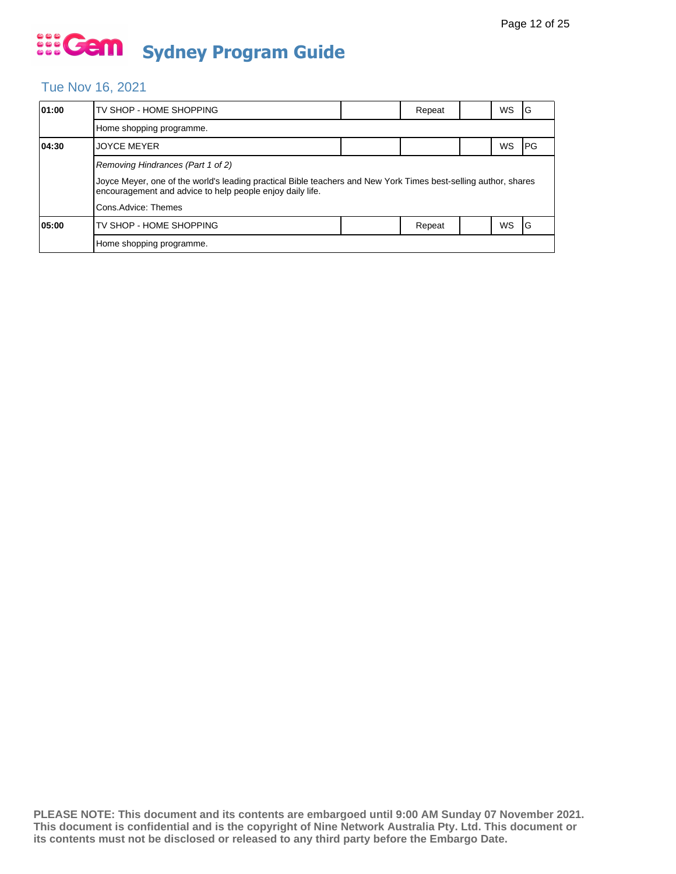#### Tue Nov 16, 2021

| 01:00 | TV SHOP - HOME SHOPPING                                                                                                                                                      |  | Repeat |  | WS        | ١G   |  |
|-------|------------------------------------------------------------------------------------------------------------------------------------------------------------------------------|--|--------|--|-----------|------|--|
|       | Home shopping programme.                                                                                                                                                     |  |        |  |           |      |  |
| 04:30 | <b>JOYCE MEYER</b>                                                                                                                                                           |  |        |  | WS        | IPG. |  |
|       |                                                                                                                                                                              |  |        |  |           |      |  |
|       | Joyce Meyer, one of the world's leading practical Bible teachers and New York Times best-selling author, shares<br>encouragement and advice to help people enjoy daily life. |  |        |  |           |      |  |
|       | Cons.Advice: Themes                                                                                                                                                          |  |        |  |           |      |  |
| 05:00 | TV SHOP - HOME SHOPPING                                                                                                                                                      |  | Repeat |  | <b>WS</b> | 1G   |  |
|       | Home shopping programme.                                                                                                                                                     |  |        |  |           |      |  |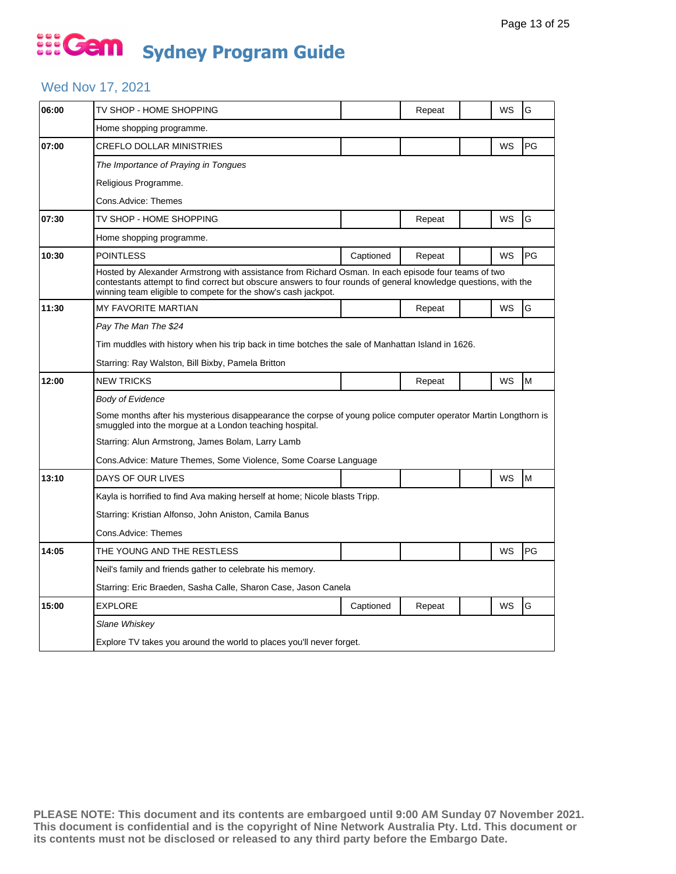### ... Gem **Sydney Program Guide**

#### Wed Nov 17, 2021

| 06:00 | TV SHOP - HOME SHOPPING                                                                                                                                                                                                                                                                 |           | Repeat |  | WS | G  |  |  |  |
|-------|-----------------------------------------------------------------------------------------------------------------------------------------------------------------------------------------------------------------------------------------------------------------------------------------|-----------|--------|--|----|----|--|--|--|
|       | Home shopping programme.                                                                                                                                                                                                                                                                |           |        |  |    |    |  |  |  |
| 07:00 | CREFLO DOLLAR MINISTRIES                                                                                                                                                                                                                                                                |           |        |  | WS | PG |  |  |  |
|       | The Importance of Praying in Tongues                                                                                                                                                                                                                                                    |           |        |  |    |    |  |  |  |
|       | Religious Programme.                                                                                                                                                                                                                                                                    |           |        |  |    |    |  |  |  |
|       | Cons.Advice: Themes                                                                                                                                                                                                                                                                     |           |        |  |    |    |  |  |  |
| 07:30 | TV SHOP - HOME SHOPPING                                                                                                                                                                                                                                                                 |           | Repeat |  | WS | G  |  |  |  |
|       | Home shopping programme.                                                                                                                                                                                                                                                                |           |        |  |    |    |  |  |  |
| 10:30 | <b>POINTLESS</b>                                                                                                                                                                                                                                                                        | Captioned | Repeat |  | WS | PG |  |  |  |
|       | Hosted by Alexander Armstrong with assistance from Richard Osman. In each episode four teams of two<br>contestants attempt to find correct but obscure answers to four rounds of general knowledge questions, with the<br>winning team eligible to compete for the show's cash jackpot. |           |        |  |    |    |  |  |  |
| 11:30 | <b>MY FAVORITE MARTIAN</b>                                                                                                                                                                                                                                                              |           | Repeat |  | WS | G  |  |  |  |
|       | Pay The Man The \$24                                                                                                                                                                                                                                                                    |           |        |  |    |    |  |  |  |
|       | Tim muddles with history when his trip back in time botches the sale of Manhattan Island in 1626.                                                                                                                                                                                       |           |        |  |    |    |  |  |  |
|       | Starring: Ray Walston, Bill Bixby, Pamela Britton                                                                                                                                                                                                                                       |           |        |  |    |    |  |  |  |
| 12:00 | <b>NEW TRICKS</b>                                                                                                                                                                                                                                                                       |           | Repeat |  | WS | M  |  |  |  |
|       | <b>Body of Evidence</b>                                                                                                                                                                                                                                                                 |           |        |  |    |    |  |  |  |
|       | Some months after his mysterious disappearance the corpse of young police computer operator Martin Longthorn is<br>smuggled into the morgue at a London teaching hospital.                                                                                                              |           |        |  |    |    |  |  |  |
|       | Starring: Alun Armstrong, James Bolam, Larry Lamb                                                                                                                                                                                                                                       |           |        |  |    |    |  |  |  |
|       | Cons.Advice: Mature Themes, Some Violence, Some Coarse Language                                                                                                                                                                                                                         |           |        |  |    |    |  |  |  |
| 13:10 | DAYS OF OUR LIVES                                                                                                                                                                                                                                                                       |           |        |  | WS | M  |  |  |  |
|       | Kayla is horrified to find Ava making herself at home; Nicole blasts Tripp.                                                                                                                                                                                                             |           |        |  |    |    |  |  |  |
|       | Starring: Kristian Alfonso, John Aniston, Camila Banus                                                                                                                                                                                                                                  |           |        |  |    |    |  |  |  |
|       | Cons.Advice: Themes                                                                                                                                                                                                                                                                     |           |        |  |    |    |  |  |  |
| 14:05 | THE YOUNG AND THE RESTLESS                                                                                                                                                                                                                                                              |           |        |  | WS | PG |  |  |  |
|       | Neil's family and friends gather to celebrate his memory.                                                                                                                                                                                                                               |           |        |  |    |    |  |  |  |
|       | Starring: Eric Braeden, Sasha Calle, Sharon Case, Jason Canela                                                                                                                                                                                                                          |           |        |  |    |    |  |  |  |
| 15:00 | <b>EXPLORE</b>                                                                                                                                                                                                                                                                          | Captioned | Repeat |  | WS | G  |  |  |  |
|       | Slane Whiskey                                                                                                                                                                                                                                                                           |           |        |  |    |    |  |  |  |
|       | Explore TV takes you around the world to places you'll never forget.                                                                                                                                                                                                                    |           |        |  |    |    |  |  |  |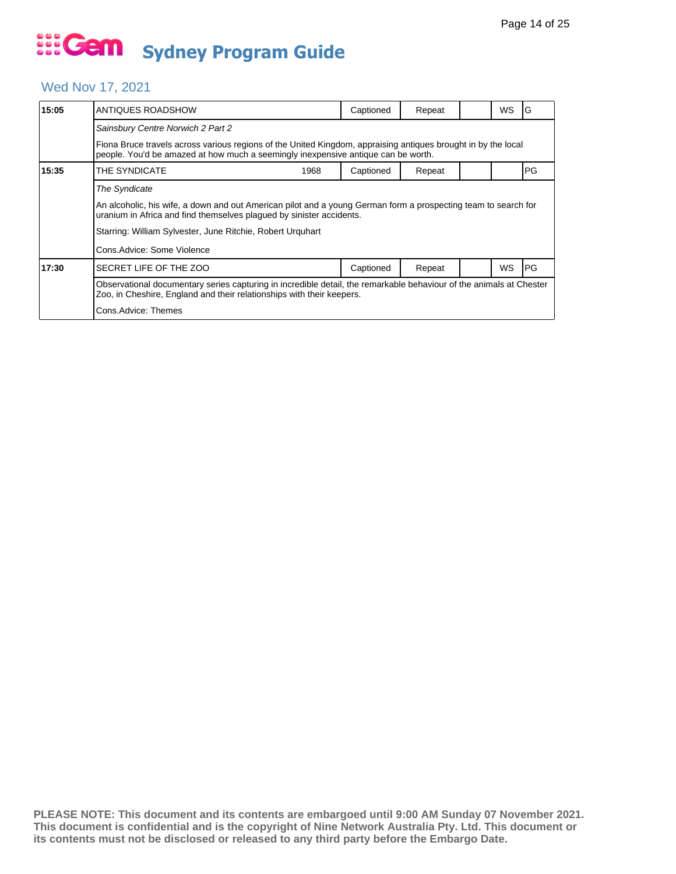#### Wed Nov 17, 2021

| 15:05 | ANTIQUES ROADSHOW                                                                                                                                                                                  |  | Captioned | Repeat |  | WS | G         |  |  |
|-------|----------------------------------------------------------------------------------------------------------------------------------------------------------------------------------------------------|--|-----------|--------|--|----|-----------|--|--|
|       | Sainsbury Centre Norwich 2 Part 2                                                                                                                                                                  |  |           |        |  |    |           |  |  |
|       | Fiona Bruce travels across various regions of the United Kingdom, appraising antiques brought in by the local<br>people. You'd be amazed at how much a seemingly inexpensive antique can be worth. |  |           |        |  |    |           |  |  |
| 15:35 | THE SYNDICATE<br>1968                                                                                                                                                                              |  | Captioned | Repeat |  |    | PG        |  |  |
|       | <b>The Syndicate</b><br>An alcoholic, his wife, a down and out American pilot and a young German form a prospecting team to search for                                                             |  |           |        |  |    |           |  |  |
|       | uranium in Africa and find themselves plagued by sinister accidents.                                                                                                                               |  |           |        |  |    |           |  |  |
|       | Starring: William Sylvester, June Ritchie, Robert Urguhart                                                                                                                                         |  |           |        |  |    |           |  |  |
|       | Cons.Advice: Some Violence                                                                                                                                                                         |  |           |        |  |    |           |  |  |
| 17:30 | SECRET LIFE OF THE ZOO                                                                                                                                                                             |  | Captioned | Repeat |  | WS | <b>PG</b> |  |  |
|       | Observational documentary series capturing in incredible detail, the remarkable behaviour of the animals at Chester<br>Zoo, in Cheshire, England and their relationships with their keepers.       |  |           |        |  |    |           |  |  |
|       | Cons.Advice: Themes                                                                                                                                                                                |  |           |        |  |    |           |  |  |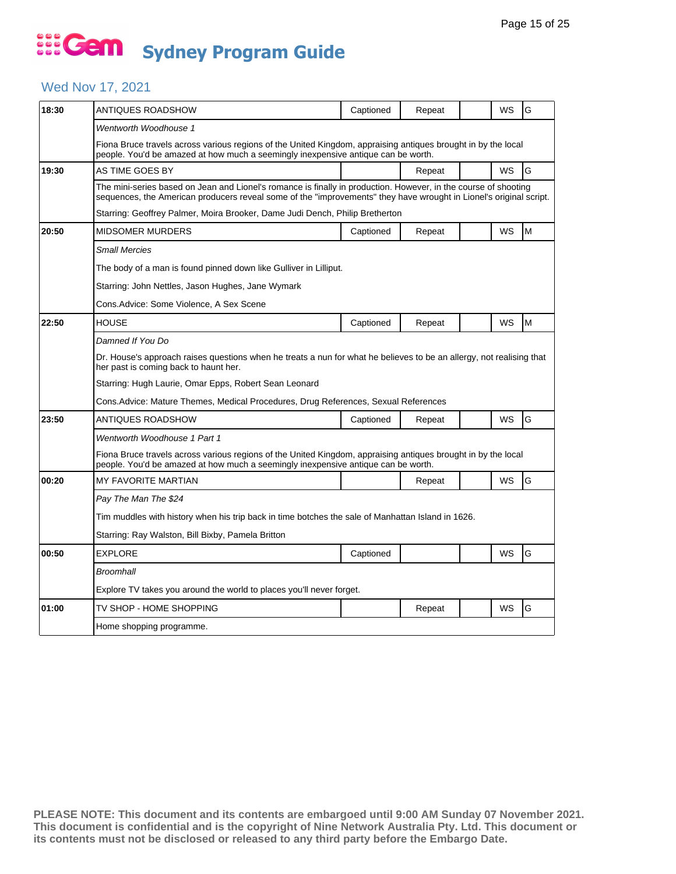#### Wed Nov 17, 2021

| 18:30 | ANTIQUES ROADSHOW                                                                                                                                                                                                                     | Captioned | Repeat |  | WS                                                                                                                                                                                                 | G |  |  |  |  |  |
|-------|---------------------------------------------------------------------------------------------------------------------------------------------------------------------------------------------------------------------------------------|-----------|--------|--|----------------------------------------------------------------------------------------------------------------------------------------------------------------------------------------------------|---|--|--|--|--|--|
|       | Wentworth Woodhouse 1                                                                                                                                                                                                                 |           |        |  |                                                                                                                                                                                                    |   |  |  |  |  |  |
|       | Fiona Bruce travels across various regions of the United Kingdom, appraising antiques brought in by the local<br>people. You'd be amazed at how much a seemingly inexpensive antique can be worth.                                    |           |        |  |                                                                                                                                                                                                    |   |  |  |  |  |  |
| 19:30 | AS TIME GOES BY                                                                                                                                                                                                                       |           | Repeat |  | WS                                                                                                                                                                                                 | G |  |  |  |  |  |
|       | The mini-series based on Jean and Lionel's romance is finally in production. However, in the course of shooting<br>sequences, the American producers reveal some of the "improvements" they have wrought in Lionel's original script. |           |        |  |                                                                                                                                                                                                    |   |  |  |  |  |  |
|       | Starring: Geoffrey Palmer, Moira Brooker, Dame Judi Dench, Philip Bretherton                                                                                                                                                          |           |        |  |                                                                                                                                                                                                    |   |  |  |  |  |  |
| 20:50 | <b>MIDSOMER MURDERS</b>                                                                                                                                                                                                               | Captioned | Repeat |  | WS                                                                                                                                                                                                 | M |  |  |  |  |  |
|       | <b>Small Mercies</b>                                                                                                                                                                                                                  |           |        |  |                                                                                                                                                                                                    |   |  |  |  |  |  |
|       | The body of a man is found pinned down like Gulliver in Lilliput.                                                                                                                                                                     |           |        |  |                                                                                                                                                                                                    |   |  |  |  |  |  |
|       | Starring: John Nettles, Jason Hughes, Jane Wymark                                                                                                                                                                                     |           |        |  |                                                                                                                                                                                                    |   |  |  |  |  |  |
|       | Cons.Advice: Some Violence, A Sex Scene                                                                                                                                                                                               |           |        |  |                                                                                                                                                                                                    |   |  |  |  |  |  |
| 22:50 | HOUSE                                                                                                                                                                                                                                 | Captioned | Repeat |  | WS                                                                                                                                                                                                 | M |  |  |  |  |  |
|       | Damned If You Do                                                                                                                                                                                                                      |           |        |  |                                                                                                                                                                                                    |   |  |  |  |  |  |
|       | Dr. House's approach raises questions when he treats a nun for what he believes to be an allergy, not realising that<br>her past is coming back to haunt her.                                                                         |           |        |  |                                                                                                                                                                                                    |   |  |  |  |  |  |
|       | Starring: Hugh Laurie, Omar Epps, Robert Sean Leonard                                                                                                                                                                                 |           |        |  |                                                                                                                                                                                                    |   |  |  |  |  |  |
|       | Cons.Advice: Mature Themes, Medical Procedures, Drug References, Sexual References                                                                                                                                                    |           |        |  |                                                                                                                                                                                                    |   |  |  |  |  |  |
| 23:50 | ANTIQUES ROADSHOW                                                                                                                                                                                                                     | Captioned | Repeat |  | WS                                                                                                                                                                                                 | G |  |  |  |  |  |
|       | Wentworth Woodhouse 1 Part 1                                                                                                                                                                                                          |           |        |  |                                                                                                                                                                                                    |   |  |  |  |  |  |
|       |                                                                                                                                                                                                                                       |           |        |  | Fiona Bruce travels across various regions of the United Kingdom, appraising antiques brought in by the local<br>people. You'd be amazed at how much a seemingly inexpensive antique can be worth. |   |  |  |  |  |  |
| 00:20 |                                                                                                                                                                                                                                       |           |        |  |                                                                                                                                                                                                    |   |  |  |  |  |  |
|       | MY FAVORITE MARTIAN                                                                                                                                                                                                                   |           | Repeat |  | <b>WS</b>                                                                                                                                                                                          | G |  |  |  |  |  |
|       | Pay The Man The \$24                                                                                                                                                                                                                  |           |        |  |                                                                                                                                                                                                    |   |  |  |  |  |  |
|       | Tim muddles with history when his trip back in time botches the sale of Manhattan Island in 1626.                                                                                                                                     |           |        |  |                                                                                                                                                                                                    |   |  |  |  |  |  |
|       | Starring: Ray Walston, Bill Bixby, Pamela Britton                                                                                                                                                                                     |           |        |  |                                                                                                                                                                                                    |   |  |  |  |  |  |
| 00:50 | <b>EXPLORE</b>                                                                                                                                                                                                                        | Captioned |        |  | WS                                                                                                                                                                                                 | G |  |  |  |  |  |
|       | <b>Broomhall</b>                                                                                                                                                                                                                      |           |        |  |                                                                                                                                                                                                    |   |  |  |  |  |  |
|       | Explore TV takes you around the world to places you'll never forget.                                                                                                                                                                  |           |        |  |                                                                                                                                                                                                    |   |  |  |  |  |  |
| 01:00 | TV SHOP - HOME SHOPPING                                                                                                                                                                                                               |           | Repeat |  | WS                                                                                                                                                                                                 | G |  |  |  |  |  |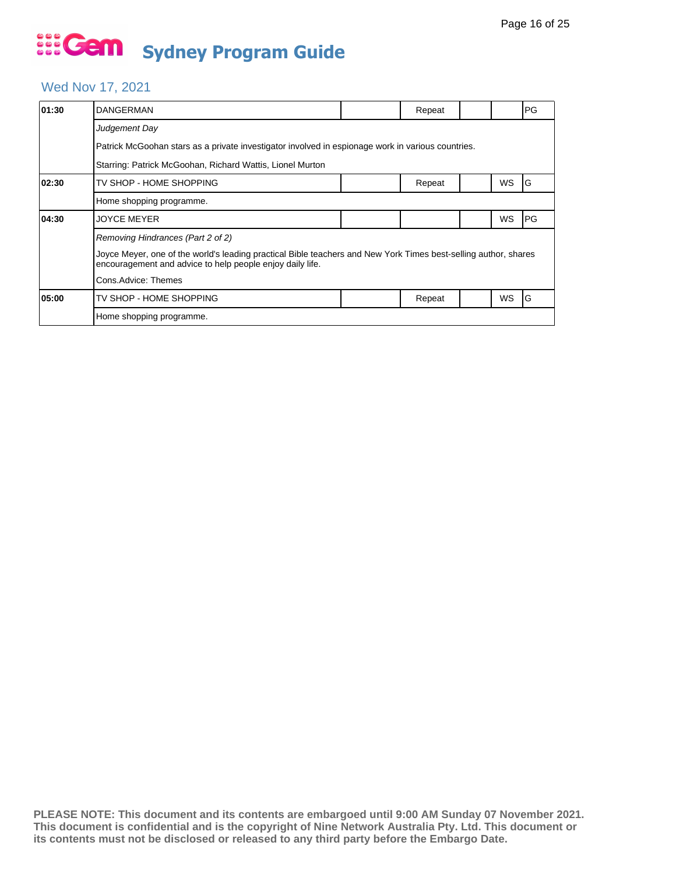#### Wed Nov 17, 2021

| 01:30 | <b>DANGERMAN</b>                                                                                                                                                                                                                         |  | Repeat |  |    | PG |  |  |  |
|-------|------------------------------------------------------------------------------------------------------------------------------------------------------------------------------------------------------------------------------------------|--|--------|--|----|----|--|--|--|
|       | Judgement Day                                                                                                                                                                                                                            |  |        |  |    |    |  |  |  |
|       | Patrick McGoohan stars as a private investigator involved in espionage work in various countries.                                                                                                                                        |  |        |  |    |    |  |  |  |
|       | Starring: Patrick McGoohan, Richard Wattis, Lionel Murton                                                                                                                                                                                |  |        |  |    |    |  |  |  |
| 02:30 | TV SHOP - HOME SHOPPING                                                                                                                                                                                                                  |  | Repeat |  | WS | G  |  |  |  |
|       | Home shopping programme.                                                                                                                                                                                                                 |  |        |  |    |    |  |  |  |
| 04:30 | JOYCE MEYER                                                                                                                                                                                                                              |  |        |  | WS | PG |  |  |  |
|       | Removing Hindrances (Part 2 of 2)<br>Joyce Meyer, one of the world's leading practical Bible teachers and New York Times best-selling author, shares<br>encouragement and advice to help people enjoy daily life.<br>Cons.Advice: Themes |  |        |  |    |    |  |  |  |
| 05:00 | TV SHOP - HOME SHOPPING                                                                                                                                                                                                                  |  | Repeat |  | WS | G  |  |  |  |
|       | Home shopping programme.                                                                                                                                                                                                                 |  |        |  |    |    |  |  |  |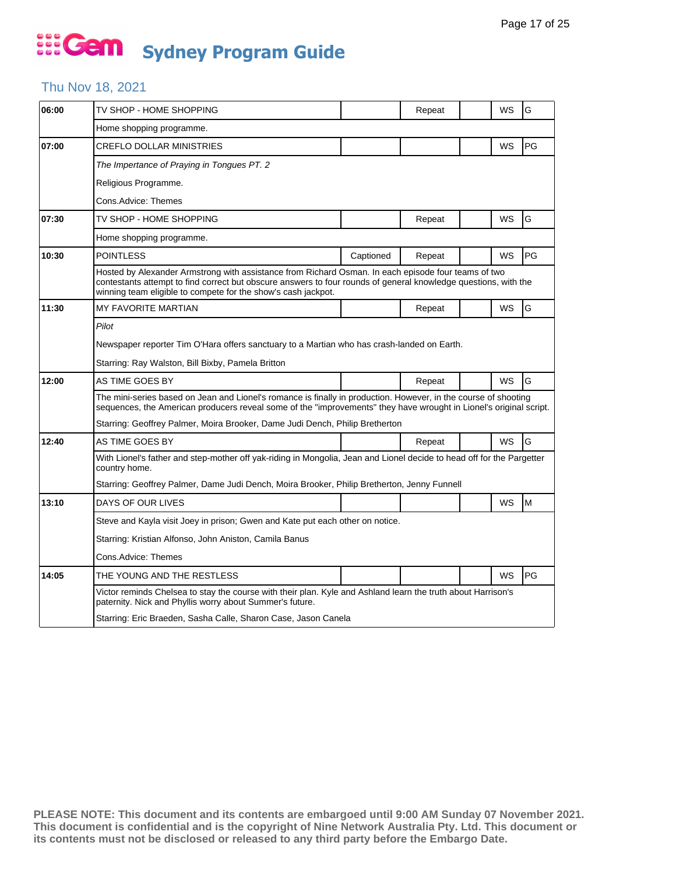#### Thu Nov 18, 2021

| 06:00 | TV SHOP - HOME SHOPPING                                                                                                                                                                                                                                                                 |           | Repeat |  | WS | G  |  |  |
|-------|-----------------------------------------------------------------------------------------------------------------------------------------------------------------------------------------------------------------------------------------------------------------------------------------|-----------|--------|--|----|----|--|--|
|       | Home shopping programme.                                                                                                                                                                                                                                                                |           |        |  |    |    |  |  |
| 07:00 | <b>CREFLO DOLLAR MINISTRIES</b>                                                                                                                                                                                                                                                         |           |        |  | WS | PG |  |  |
|       | The Impertance of Praying in Tongues PT. 2                                                                                                                                                                                                                                              |           |        |  |    |    |  |  |
|       | Religious Programme.                                                                                                                                                                                                                                                                    |           |        |  |    |    |  |  |
|       | Cons.Advice: Themes                                                                                                                                                                                                                                                                     |           |        |  |    |    |  |  |
| 07:30 | TV SHOP - HOME SHOPPING                                                                                                                                                                                                                                                                 |           | Repeat |  | WS | G  |  |  |
|       | Home shopping programme.                                                                                                                                                                                                                                                                |           |        |  |    |    |  |  |
| 10:30 | <b>POINTLESS</b>                                                                                                                                                                                                                                                                        | Captioned | Repeat |  | WS | PG |  |  |
|       | Hosted by Alexander Armstrong with assistance from Richard Osman. In each episode four teams of two<br>contestants attempt to find correct but obscure answers to four rounds of general knowledge questions, with the<br>winning team eligible to compete for the show's cash jackpot. |           |        |  |    |    |  |  |
| 11:30 | <b>MY FAVORITE MARTIAN</b>                                                                                                                                                                                                                                                              |           | Repeat |  | WS | G  |  |  |
|       | Pilot                                                                                                                                                                                                                                                                                   |           |        |  |    |    |  |  |
|       | Newspaper reporter Tim O'Hara offers sanctuary to a Martian who has crash-landed on Earth.                                                                                                                                                                                              |           |        |  |    |    |  |  |
|       | Starring: Ray Walston, Bill Bixby, Pamela Britton                                                                                                                                                                                                                                       |           |        |  |    |    |  |  |
| 12:00 | AS TIME GOES BY                                                                                                                                                                                                                                                                         |           | Repeat |  | WS | G  |  |  |
|       | The mini-series based on Jean and Lionel's romance is finally in production. However, in the course of shooting<br>sequences, the American producers reveal some of the "improvements" they have wrought in Lionel's original script.                                                   |           |        |  |    |    |  |  |
|       | Starring: Geoffrey Palmer, Moira Brooker, Dame Judi Dench, Philip Bretherton                                                                                                                                                                                                            |           |        |  |    |    |  |  |
| 12:40 | AS TIME GOES BY                                                                                                                                                                                                                                                                         |           | Repeat |  | WS | G  |  |  |
|       | With Lionel's father and step-mother off yak-riding in Mongolia, Jean and Lionel decide to head off for the Pargetter<br>country home.                                                                                                                                                  |           |        |  |    |    |  |  |
|       | Starring: Geoffrey Palmer, Dame Judi Dench, Moira Brooker, Philip Bretherton, Jenny Funnell                                                                                                                                                                                             |           |        |  |    |    |  |  |
| 13:10 | DAYS OF OUR LIVES                                                                                                                                                                                                                                                                       |           |        |  | WS | M  |  |  |
|       | Steve and Kayla visit Joey in prison; Gwen and Kate put each other on notice.                                                                                                                                                                                                           |           |        |  |    |    |  |  |
|       | Starring: Kristian Alfonso, John Aniston, Camila Banus                                                                                                                                                                                                                                  |           |        |  |    |    |  |  |
|       | Cons.Advice: Themes                                                                                                                                                                                                                                                                     |           |        |  |    |    |  |  |
| 14:05 | THE YOUNG AND THE RESTLESS                                                                                                                                                                                                                                                              |           |        |  | WS | PG |  |  |
|       | Victor reminds Chelsea to stay the course with their plan. Kyle and Ashland learn the truth about Harrison's<br>paternity. Nick and Phyllis worry about Summer's future.                                                                                                                |           |        |  |    |    |  |  |
|       | Starring: Eric Braeden, Sasha Calle, Sharon Case, Jason Canela                                                                                                                                                                                                                          |           |        |  |    |    |  |  |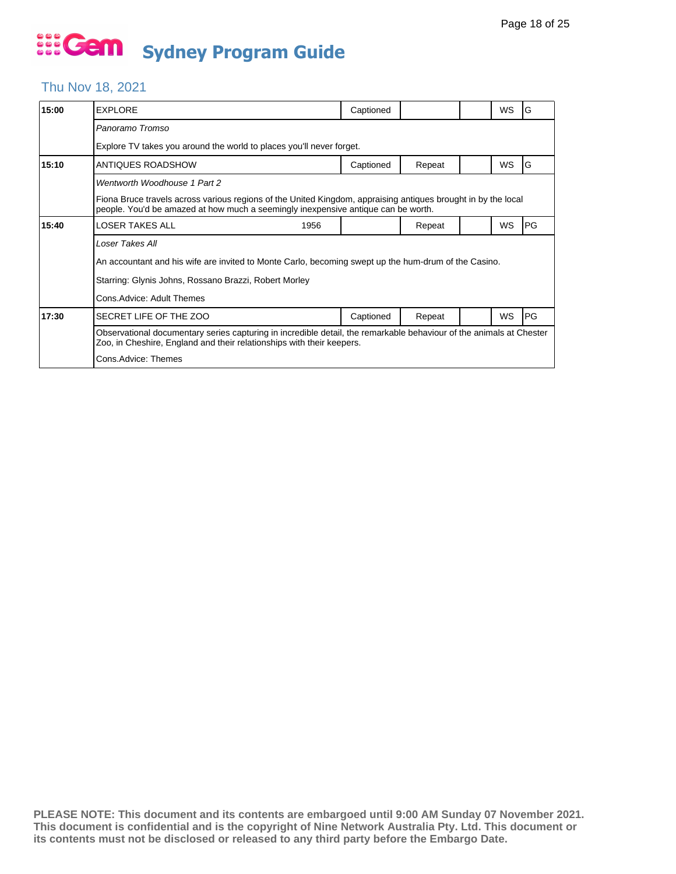#### Thu Nov 18, 2021

| <b>EXPLORE</b>                                                                                                                                                                                                      | Captioned                 |                                                                      |  | <b>WS</b> | G         |  |  |
|---------------------------------------------------------------------------------------------------------------------------------------------------------------------------------------------------------------------|---------------------------|----------------------------------------------------------------------|--|-----------|-----------|--|--|
| Panoramo Tromso                                                                                                                                                                                                     |                           |                                                                      |  |           |           |  |  |
|                                                                                                                                                                                                                     |                           |                                                                      |  |           |           |  |  |
| ANTIQUES ROADSHOW                                                                                                                                                                                                   | Captioned                 | Repeat                                                               |  | <b>WS</b> | G         |  |  |
| Wentworth Woodhouse 1 Part 2                                                                                                                                                                                        |                           |                                                                      |  |           |           |  |  |
| Fiona Bruce travels across various regions of the United Kingdom, appraising antiques brought in by the local<br>people. You'd be amazed at how much a seemingly inexpensive antique can be worth.                  |                           |                                                                      |  |           |           |  |  |
| <b>LOSER TAKES ALL</b><br>1956                                                                                                                                                                                      |                           | Repeat                                                               |  | <b>WS</b> | PG        |  |  |
| Loser Takes All<br>An accountant and his wife are invited to Monte Carlo, becoming swept up the hum-drum of the Casino.<br>Starring: Glynis Johns, Rossano Brazzi, Robert Morley                                    |                           |                                                                      |  |           |           |  |  |
| SECRET LIFE OF THE ZOO                                                                                                                                                                                              | Captioned                 | Repeat                                                               |  | <b>WS</b> | <b>PG</b> |  |  |
| Observational documentary series capturing in incredible detail, the remarkable behaviour of the animals at Chester<br>Zoo, in Cheshire, England and their relationships with their keepers.<br>Cons.Advice: Themes |                           |                                                                      |  |           |           |  |  |
|                                                                                                                                                                                                                     | Cons.Advice: Adult Themes | Explore TV takes you around the world to places you'll never forget. |  |           |           |  |  |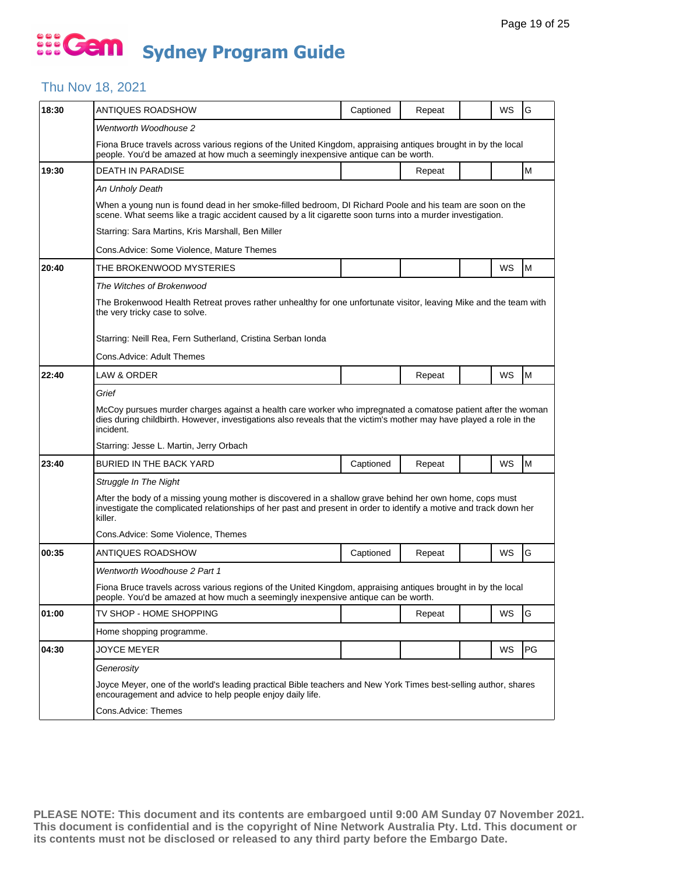#### Thu Nov 18, 2021

| 18:30 | ANTIQUES ROADSHOW                                                                                                                                                                                                                                | Captioned | Repeat |  | WS        | G  |  |  |  |
|-------|--------------------------------------------------------------------------------------------------------------------------------------------------------------------------------------------------------------------------------------------------|-----------|--------|--|-----------|----|--|--|--|
|       | Wentworth Woodhouse 2                                                                                                                                                                                                                            |           |        |  |           |    |  |  |  |
|       | Fiona Bruce travels across various regions of the United Kingdom, appraising antiques brought in by the local<br>people. You'd be amazed at how much a seemingly inexpensive antique can be worth.                                               |           |        |  |           |    |  |  |  |
| 19:30 | <b>DEATH IN PARADISE</b>                                                                                                                                                                                                                         |           | Repeat |  |           | M  |  |  |  |
|       | An Unholy Death                                                                                                                                                                                                                                  |           |        |  |           |    |  |  |  |
|       | When a young nun is found dead in her smoke-filled bedroom, DI Richard Poole and his team are soon on the<br>scene. What seems like a tragic accident caused by a lit cigarette soon turns into a murder investigation.                          |           |        |  |           |    |  |  |  |
|       | Starring: Sara Martins, Kris Marshall, Ben Miller                                                                                                                                                                                                |           |        |  |           |    |  |  |  |
|       | Cons.Advice: Some Violence, Mature Themes                                                                                                                                                                                                        |           |        |  |           |    |  |  |  |
| 20:40 | THE BROKENWOOD MYSTERIES                                                                                                                                                                                                                         |           |        |  | WS        | M  |  |  |  |
|       | The Witches of Brokenwood                                                                                                                                                                                                                        |           |        |  |           |    |  |  |  |
|       | The Brokenwood Health Retreat proves rather unhealthy for one unfortunate visitor, leaving Mike and the team with<br>the very tricky case to solve.                                                                                              |           |        |  |           |    |  |  |  |
|       | Starring: Neill Rea, Fern Sutherland, Cristina Serban Ionda                                                                                                                                                                                      |           |        |  |           |    |  |  |  |
|       | Cons.Advice: Adult Themes                                                                                                                                                                                                                        |           |        |  |           |    |  |  |  |
| 22:40 | <b>LAW &amp; ORDER</b>                                                                                                                                                                                                                           |           | Repeat |  | <b>WS</b> | M  |  |  |  |
|       | Grief                                                                                                                                                                                                                                            |           |        |  |           |    |  |  |  |
|       | McCoy pursues murder charges against a health care worker who impregnated a comatose patient after the woman<br>dies during childbirth. However, investigations also reveals that the victim's mother may have played a role in the<br>incident. |           |        |  |           |    |  |  |  |
|       | Starring: Jesse L. Martin, Jerry Orbach                                                                                                                                                                                                          |           |        |  |           |    |  |  |  |
| 23:40 | BURIED IN THE BACK YARD                                                                                                                                                                                                                          | Captioned | Repeat |  | WS        | M  |  |  |  |
|       | Struggle In The Night                                                                                                                                                                                                                            |           |        |  |           |    |  |  |  |
|       | After the body of a missing young mother is discovered in a shallow grave behind her own home, cops must<br>investigate the complicated relationships of her past and present in order to identify a motive and track down her<br>killer.        |           |        |  |           |    |  |  |  |
|       | Cons.Advice: Some Violence, Themes                                                                                                                                                                                                               |           |        |  |           |    |  |  |  |
| 00:35 | ANTIQUES ROADSHOW                                                                                                                                                                                                                                | Captioned | Repeat |  | WS        | G  |  |  |  |
|       | Wentworth Woodhouse 2 Part 1                                                                                                                                                                                                                     |           |        |  |           |    |  |  |  |
|       | Fiona Bruce travels across various regions of the United Kingdom, appraising antiques brought in by the local<br>people. You'd be amazed at how much a seemingly inexpensive antique can be worth.                                               |           |        |  |           |    |  |  |  |
| 01:00 | TV SHOP - HOME SHOPPING                                                                                                                                                                                                                          |           | Repeat |  | <b>WS</b> | G  |  |  |  |
|       | Home shopping programme.                                                                                                                                                                                                                         |           |        |  |           |    |  |  |  |
| 04:30 | <b>JOYCE MEYER</b>                                                                                                                                                                                                                               |           |        |  | WS        | PG |  |  |  |
|       | Generosity                                                                                                                                                                                                                                       |           |        |  |           |    |  |  |  |
|       | Joyce Meyer, one of the world's leading practical Bible teachers and New York Times best-selling author, shares<br>encouragement and advice to help people enjoy daily life.                                                                     |           |        |  |           |    |  |  |  |
|       | Cons.Advice: Themes                                                                                                                                                                                                                              |           |        |  |           |    |  |  |  |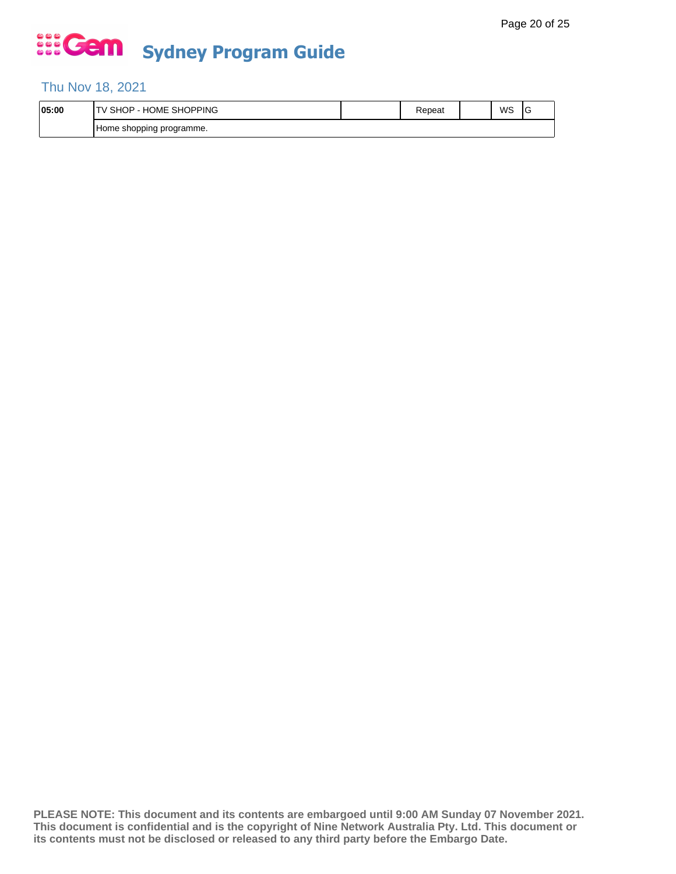#### Thu Nov 18, 2021

| 05:00 | <b>SHOPPING</b><br>$\cdots$<br>. ⊣ل<br>SHC.<br>∪ME.<br>н٥<br>- | kepeat | WS | ◡ |
|-------|----------------------------------------------------------------|--------|----|---|
|       | n programme.<br>Home shopping                                  |        |    |   |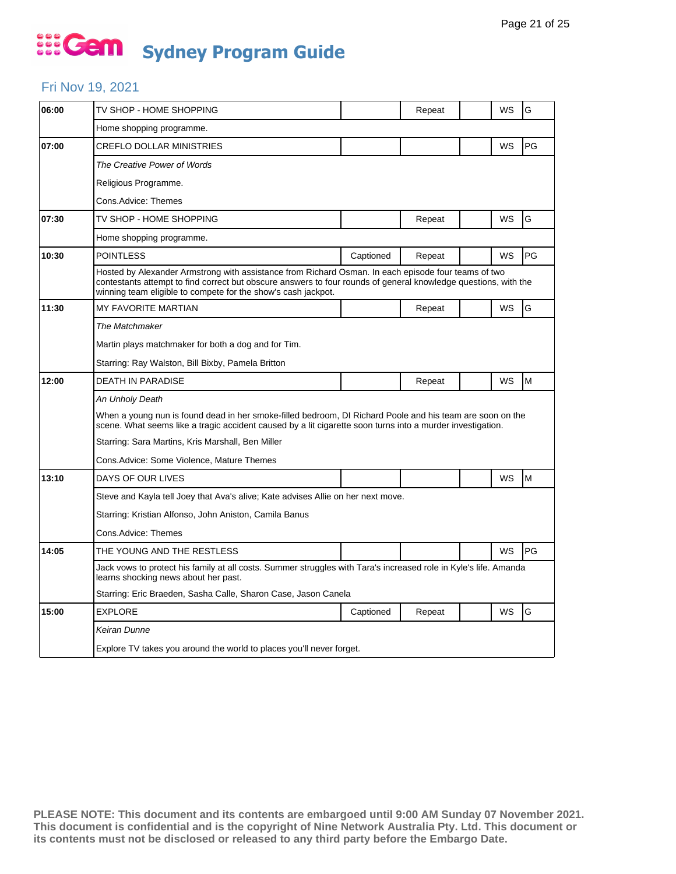#### Fri Nov 19, 2021

| 06:00 | TV SHOP - HOME SHOPPING                                                                                                                                                                                                                                                                 |           | Repeat |  | WS | G         |  |  |  |
|-------|-----------------------------------------------------------------------------------------------------------------------------------------------------------------------------------------------------------------------------------------------------------------------------------------|-----------|--------|--|----|-----------|--|--|--|
|       | Home shopping programme.                                                                                                                                                                                                                                                                |           |        |  |    |           |  |  |  |
| 07:00 | <b>CREFLO DOLLAR MINISTRIES</b>                                                                                                                                                                                                                                                         |           |        |  | WS | PG        |  |  |  |
|       | The Creative Power of Words                                                                                                                                                                                                                                                             |           |        |  |    |           |  |  |  |
|       | Religious Programme.                                                                                                                                                                                                                                                                    |           |        |  |    |           |  |  |  |
|       | Cons.Advice: Themes                                                                                                                                                                                                                                                                     |           |        |  |    |           |  |  |  |
| 07:30 | TV SHOP - HOME SHOPPING                                                                                                                                                                                                                                                                 |           | Repeat |  | WS | G         |  |  |  |
|       | Home shopping programme.                                                                                                                                                                                                                                                                |           |        |  |    |           |  |  |  |
| 10:30 | <b>POINTLESS</b>                                                                                                                                                                                                                                                                        | Captioned | Repeat |  | WS | PG        |  |  |  |
|       | Hosted by Alexander Armstrong with assistance from Richard Osman. In each episode four teams of two<br>contestants attempt to find correct but obscure answers to four rounds of general knowledge questions, with the<br>winning team eligible to compete for the show's cash jackpot. |           |        |  |    |           |  |  |  |
| 11:30 | <b>MY FAVORITE MARTIAN</b>                                                                                                                                                                                                                                                              |           | Repeat |  | WS | G         |  |  |  |
|       | The Matchmaker                                                                                                                                                                                                                                                                          |           |        |  |    |           |  |  |  |
|       | Martin plays matchmaker for both a dog and for Tim.                                                                                                                                                                                                                                     |           |        |  |    |           |  |  |  |
|       | Starring: Ray Walston, Bill Bixby, Pamela Britton                                                                                                                                                                                                                                       |           |        |  |    |           |  |  |  |
| 12:00 | <b>DEATH IN PARADISE</b>                                                                                                                                                                                                                                                                |           | Repeat |  | WS | M         |  |  |  |
|       | An Unholy Death                                                                                                                                                                                                                                                                         |           |        |  |    |           |  |  |  |
|       | When a young nun is found dead in her smoke-filled bedroom. DI Richard Poole and his team are soon on the<br>scene. What seems like a tragic accident caused by a lit cigarette soon turns into a murder investigation.                                                                 |           |        |  |    |           |  |  |  |
|       | Starring: Sara Martins, Kris Marshall, Ben Miller                                                                                                                                                                                                                                       |           |        |  |    |           |  |  |  |
|       | Cons. Advice: Some Violence, Mature Themes                                                                                                                                                                                                                                              |           |        |  |    |           |  |  |  |
| 13:10 | DAYS OF OUR LIVES                                                                                                                                                                                                                                                                       |           |        |  | WS | M         |  |  |  |
|       | Steve and Kayla tell Joey that Ava's alive; Kate advises Allie on her next move.                                                                                                                                                                                                        |           |        |  |    |           |  |  |  |
|       | Starring: Kristian Alfonso, John Aniston, Camila Banus                                                                                                                                                                                                                                  |           |        |  |    |           |  |  |  |
|       | Cons.Advice: Themes                                                                                                                                                                                                                                                                     |           |        |  |    |           |  |  |  |
| 14:05 | THE YOUNG AND THE RESTLESS                                                                                                                                                                                                                                                              |           |        |  | WS | <b>PG</b> |  |  |  |
|       | Jack vows to protect his family at all costs. Summer struggles with Tara's increased role in Kyle's life. Amanda<br>learns shocking news about her past.                                                                                                                                |           |        |  |    |           |  |  |  |
|       | Starring: Eric Braeden, Sasha Calle, Sharon Case, Jason Canela                                                                                                                                                                                                                          |           |        |  |    |           |  |  |  |
| 15:00 | <b>EXPLORE</b>                                                                                                                                                                                                                                                                          | Captioned | Repeat |  | WS | G         |  |  |  |
|       | Keiran Dunne                                                                                                                                                                                                                                                                            |           |        |  |    |           |  |  |  |
|       | Explore TV takes you around the world to places you'll never forget.                                                                                                                                                                                                                    |           |        |  |    |           |  |  |  |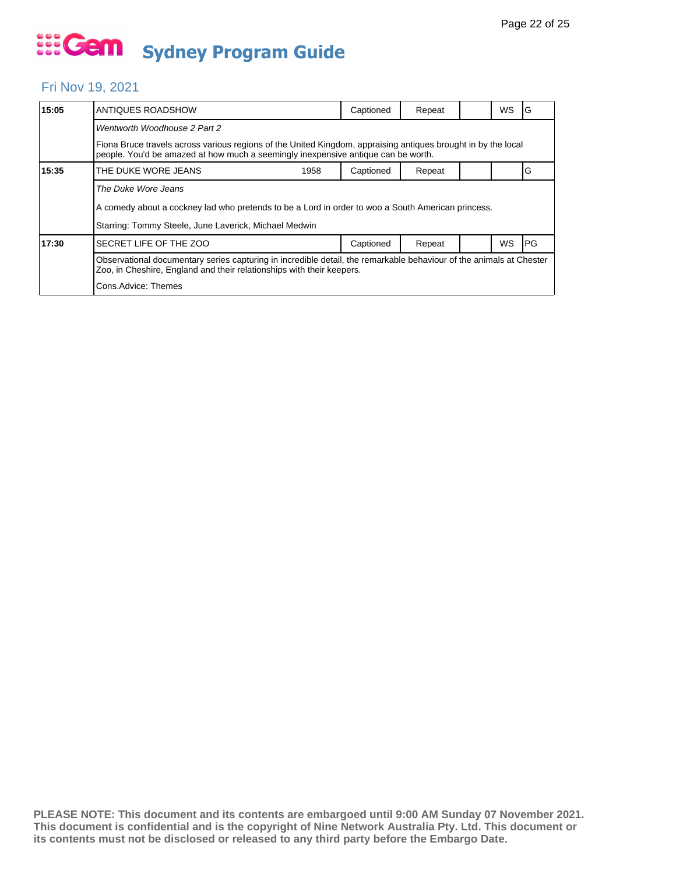#### Fri Nov 19, 2021

| 15:05                                                                                                                                                                                        | ANTIQUES ROADSHOW                                                                                                                                                                                  | Captioned | Repeat |  | <b>WS</b> | G          |  |  |  |
|----------------------------------------------------------------------------------------------------------------------------------------------------------------------------------------------|----------------------------------------------------------------------------------------------------------------------------------------------------------------------------------------------------|-----------|--------|--|-----------|------------|--|--|--|
|                                                                                                                                                                                              | Wentworth Woodhouse 2 Part 2                                                                                                                                                                       |           |        |  |           |            |  |  |  |
|                                                                                                                                                                                              | Fiona Bruce travels across various regions of the United Kingdom, appraising antiques brought in by the local<br>people. You'd be amazed at how much a seemingly inexpensive antique can be worth. |           |        |  |           |            |  |  |  |
| 15:35                                                                                                                                                                                        | THE DUKE WORE JEANS<br>1958                                                                                                                                                                        | Captioned | Repeat |  |           | G          |  |  |  |
|                                                                                                                                                                                              | The Duke Wore Jeans                                                                                                                                                                                |           |        |  |           |            |  |  |  |
|                                                                                                                                                                                              | A comedy about a cockney lad who pretends to be a Lord in order to woo a South American princess.                                                                                                  |           |        |  |           |            |  |  |  |
|                                                                                                                                                                                              | Starring: Tommy Steele, June Laverick, Michael Medwin                                                                                                                                              |           |        |  |           |            |  |  |  |
| 17:30                                                                                                                                                                                        | SECRET LIFE OF THE ZOO                                                                                                                                                                             | Captioned | Repeat |  | WS        | <b>IPG</b> |  |  |  |
| Observational documentary series capturing in incredible detail, the remarkable behaviour of the animals at Chester<br>Zoo, in Cheshire, England and their relationships with their keepers. |                                                                                                                                                                                                    |           |        |  |           |            |  |  |  |
|                                                                                                                                                                                              | Cons.Advice: Themes                                                                                                                                                                                |           |        |  |           |            |  |  |  |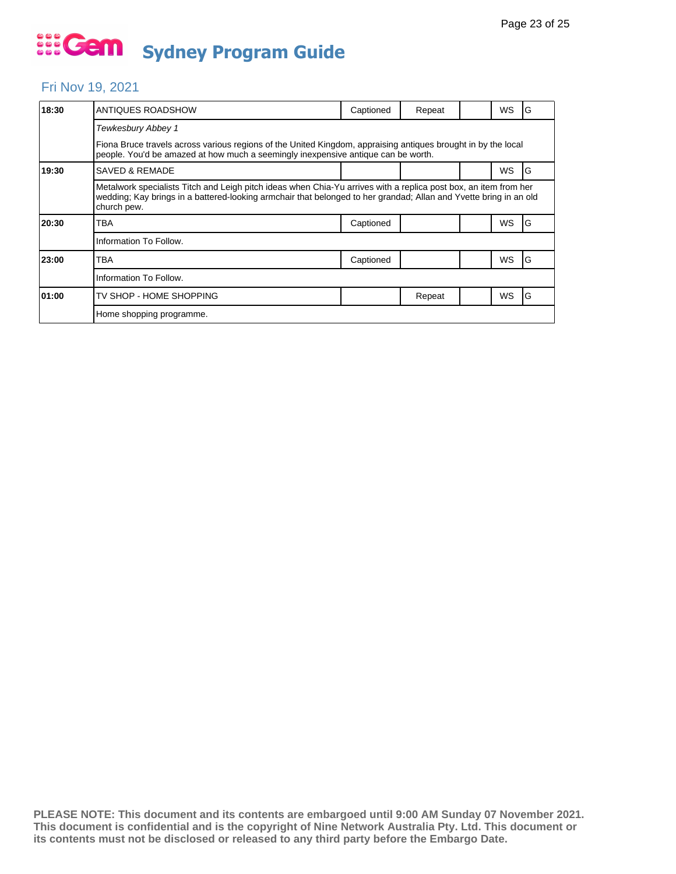#### Fri Nov 19, 2021

| 18:30 | ANTIQUES ROADSHOW                                                                                                                                                                                                                                    | Captioned | Repeat |  | WS        | G |  |  |  |
|-------|------------------------------------------------------------------------------------------------------------------------------------------------------------------------------------------------------------------------------------------------------|-----------|--------|--|-----------|---|--|--|--|
|       | Tewkesbury Abbey 1                                                                                                                                                                                                                                   |           |        |  |           |   |  |  |  |
|       | Fiona Bruce travels across various regions of the United Kingdom, appraising antiques brought in by the local<br>people. You'd be amazed at how much a seemingly inexpensive antique can be worth.                                                   |           |        |  |           |   |  |  |  |
| 19:30 | <b>SAVED &amp; REMADE</b>                                                                                                                                                                                                                            |           |        |  | WS        | G |  |  |  |
|       | Metalwork specialists Titch and Leigh pitch ideas when Chia-Yu arrives with a replica post box, an item from her<br>wedding; Kay brings in a battered-looking armchair that belonged to her grandad; Allan and Yvette bring in an old<br>church pew. |           |        |  |           |   |  |  |  |
| 20:30 | TBA                                                                                                                                                                                                                                                  | Captioned |        |  | WS        | G |  |  |  |
|       | Information To Follow.                                                                                                                                                                                                                               |           |        |  |           |   |  |  |  |
| 23:00 | TBA                                                                                                                                                                                                                                                  | Captioned |        |  | WS        | G |  |  |  |
|       | Information To Follow.                                                                                                                                                                                                                               |           |        |  |           |   |  |  |  |
| 01:00 | TV SHOP - HOME SHOPPING                                                                                                                                                                                                                              |           | Repeat |  | <b>WS</b> | G |  |  |  |
|       | Home shopping programme.                                                                                                                                                                                                                             |           |        |  |           |   |  |  |  |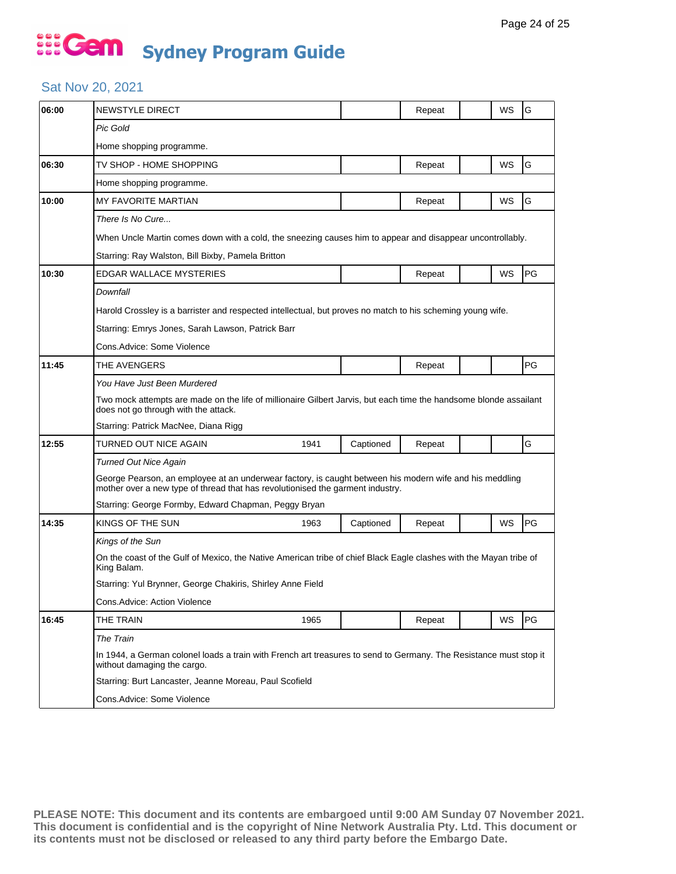#### Sat Nov 20, 2021

| 06:00 | <b>NEWSTYLE DIRECT</b>                                                                                                                                                                    |                                                            |           | Repeat |  | WS        | G         |  |  |  |
|-------|-------------------------------------------------------------------------------------------------------------------------------------------------------------------------------------------|------------------------------------------------------------|-----------|--------|--|-----------|-----------|--|--|--|
|       | <b>Pic Gold</b>                                                                                                                                                                           |                                                            |           |        |  |           |           |  |  |  |
|       | Home shopping programme.                                                                                                                                                                  |                                                            |           |        |  |           |           |  |  |  |
| 06:30 | TV SHOP - HOME SHOPPING                                                                                                                                                                   |                                                            |           | Repeat |  | WS        | G         |  |  |  |
|       | Home shopping programme.                                                                                                                                                                  |                                                            |           |        |  |           |           |  |  |  |
| 10:00 | MY FAVORITE MARTIAN                                                                                                                                                                       |                                                            |           | Repeat |  | <b>WS</b> | G         |  |  |  |
|       | There Is No Cure                                                                                                                                                                          |                                                            |           |        |  |           |           |  |  |  |
|       | When Uncle Martin comes down with a cold, the sneezing causes him to appear and disappear uncontrollably.                                                                                 |                                                            |           |        |  |           |           |  |  |  |
|       | Starring: Ray Walston, Bill Bixby, Pamela Britton                                                                                                                                         |                                                            |           |        |  |           |           |  |  |  |
| 10:30 | <b>EDGAR WALLACE MYSTERIES</b>                                                                                                                                                            |                                                            |           | Repeat |  | WS        | <b>PG</b> |  |  |  |
|       | Downfall                                                                                                                                                                                  |                                                            |           |        |  |           |           |  |  |  |
|       | Harold Crossley is a barrister and respected intellectual, but proves no match to his scheming young wife.                                                                                |                                                            |           |        |  |           |           |  |  |  |
|       | Starring: Emrys Jones, Sarah Lawson, Patrick Barr                                                                                                                                         |                                                            |           |        |  |           |           |  |  |  |
|       | Cons.Advice: Some Violence                                                                                                                                                                |                                                            |           |        |  |           |           |  |  |  |
| 11:45 | THE AVENGERS                                                                                                                                                                              |                                                            |           | Repeat |  |           | PG        |  |  |  |
|       | You Have Just Been Murdered                                                                                                                                                               |                                                            |           |        |  |           |           |  |  |  |
|       | Two mock attempts are made on the life of millionaire Gilbert Jarvis, but each time the handsome blonde assailant<br>does not go through with the attack.                                 |                                                            |           |        |  |           |           |  |  |  |
|       | Starring: Patrick MacNee, Diana Rigg                                                                                                                                                      |                                                            |           |        |  |           |           |  |  |  |
| 12:55 | TURNED OUT NICE AGAIN                                                                                                                                                                     | 1941                                                       | Captioned | Repeat |  |           | G         |  |  |  |
|       | Turned Out Nice Again                                                                                                                                                                     |                                                            |           |        |  |           |           |  |  |  |
|       | George Pearson, an employee at an underwear factory, is caught between his modern wife and his meddling<br>mother over a new type of thread that has revolutionised the garment industry. |                                                            |           |        |  |           |           |  |  |  |
|       | Starring: George Formby, Edward Chapman, Peggy Bryan                                                                                                                                      |                                                            |           |        |  |           |           |  |  |  |
| 14:35 | KINGS OF THE SUN                                                                                                                                                                          | 1963                                                       | Captioned | Repeat |  | WS        | PG        |  |  |  |
|       | Kings of the Sun                                                                                                                                                                          |                                                            |           |        |  |           |           |  |  |  |
|       | On the coast of the Gulf of Mexico, the Native American tribe of chief Black Eagle clashes with the Mayan tribe of<br>King Balam.                                                         |                                                            |           |        |  |           |           |  |  |  |
|       |                                                                                                                                                                                           | Starring: Yul Brynner, George Chakiris, Shirley Anne Field |           |        |  |           |           |  |  |  |
|       | Cons.Advice: Action Violence                                                                                                                                                              |                                                            |           |        |  |           |           |  |  |  |
| 16:45 | THE TRAIN                                                                                                                                                                                 | 1965                                                       |           | Repeat |  | WS        | PG        |  |  |  |
|       | The Train                                                                                                                                                                                 |                                                            |           |        |  |           |           |  |  |  |
|       | In 1944, a German colonel loads a train with French art treasures to send to Germany. The Resistance must stop it<br>without damaging the cargo.                                          |                                                            |           |        |  |           |           |  |  |  |
|       | Starring: Burt Lancaster, Jeanne Moreau, Paul Scofield                                                                                                                                    |                                                            |           |        |  |           |           |  |  |  |
|       | Cons.Advice: Some Violence                                                                                                                                                                |                                                            |           |        |  |           |           |  |  |  |